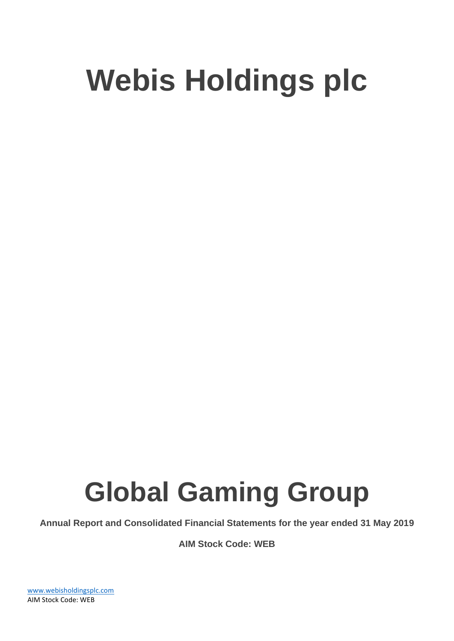# **Global Gaming Group**

**Annual Report and Consolidated Financial Statements for the year ended 31 May 2019**

**AIM Stock Code: WEB**

[www.webisholdingsplc.com](http://www.webisholdingsplc.com/) AIM Stock Code: WEB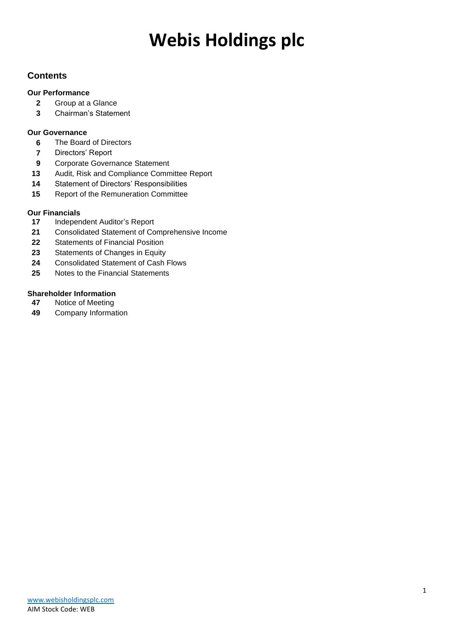### **Contents**

### **Our Performance**

- Group at a Glance
- Chairman's Statement

### **Our Governance**

- The Board of Directors
- Directors' Report
- Corporate Governance Statement
- Audit, Risk and Compliance Committee Report
- Statement of Directors' Responsibilities
- Report of the Remuneration Committee

### **Our Financials**

- Independent Auditor's Report
- Consolidated Statement of Comprehensive Income
- Statements of Financial Position
- Statements of Changes in Equity
- Consolidated Statement of Cash Flows
- Notes to the Financial Statements

## **Shareholder Information**<br>**47** Notice of Meeting

- Notice of Meeting
- Company Information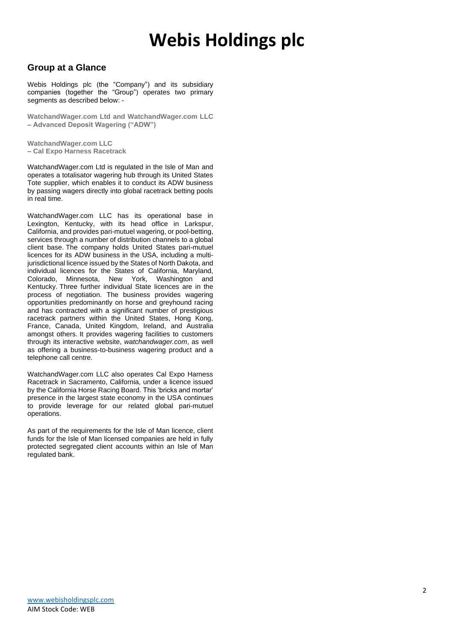### **Group at a Glance**

Webis Holdings plc (the "Company") and its subsidiary companies (together the "Group") operates two primary segments as described below: -

**WatchandWager.com Ltd and WatchandWager.com LLC – Advanced Deposit Wagering ("ADW")**

**WatchandWager.com LLC – Cal Expo Harness Racetrack**

WatchandWager.com Ltd is regulated in the Isle of Man and operates a totalisator wagering hub through its United States Tote supplier, which enables it to conduct its ADW business by passing wagers directly into global racetrack betting pools in real time.

WatchandWager.com LLC has its operational base in Lexington, Kentucky, with its head office in Larkspur, California, and provides pari-mutuel wagering, or pool-betting, services through a number of distribution channels to a global client base. The company holds United States pari-mutuel licences for its ADW business in the USA, including a multijurisdictional licence issued by the States of North Dakota, and individual licences for the States of California, Maryland, Colorado, Minnesota, New York, Washington and Kentucky. Three further individual State licences are in the process of negotiation. The business provides wagering opportunities predominantly on horse and greyhound racing and has contracted with a significant number of prestigious racetrack partners within the United States, Hong Kong, France, Canada, United Kingdom, Ireland, and Australia amongst others. It provides wagering facilities to customers through its interactive website, *watchandwager.com*, as well as offering a business-to-business wagering product and a telephone call centre.

WatchandWager.com LLC also operates Cal Expo Harness Racetrack in Sacramento, California, under a licence issued by the California Horse Racing Board. This 'bricks and mortar' presence in the largest state economy in the USA continues to provide leverage for our related global pari-mutuel operations.

As part of the requirements for the Isle of Man licence, client funds for the Isle of Man licensed companies are held in fully protected segregated client accounts within an Isle of Man regulated bank.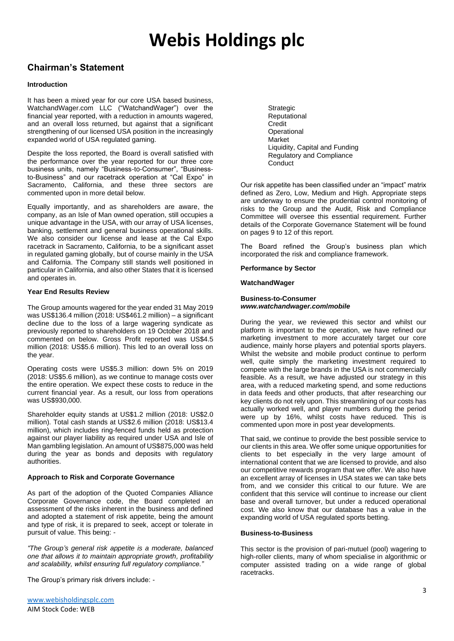### **Chairman's Statement**

#### **Introduction**

It has been a mixed year for our core USA based business, WatchandWager.com LLC ("WatchandWager") over the financial year reported, with a reduction in amounts wagered, and an overall loss returned, but against that a significant strengthening of our licensed USA position in the increasingly expanded world of USA regulated gaming.

Despite the loss reported, the Board is overall satisfied with the performance over the year reported for our three core business units, namely "Business-to-Consumer", "Businessto-Business" and our racetrack operation at "Cal Expo" in Sacramento, California, and these three sectors are commented upon in more detail below.

Equally importantly, and as shareholders are aware, the company, as an Isle of Man owned operation, still occupies a unique advantage in the USA, with our array of USA licenses, banking, settlement and general business operational skills. We also consider our license and lease at the Cal Expo racetrack in Sacramento, California, to be a significant asset in regulated gaming globally, but of course mainly in the USA and California. The Company still stands well positioned in particular in California, and also other States that it is licensed and operates in.

#### **Year End Results Review**

The Group amounts wagered for the year ended 31 May 2019 was US\$136.4 million (2018: US\$461.2 million) – a significant decline due to the loss of a large wagering syndicate as previously reported to shareholders on 19 October 2018 and commented on below. Gross Profit reported was US\$4.5 million (2018: US\$5.6 million). This led to an overall loss on the year.

Operating costs were US\$5.3 million: down 5% on 2019 (2018: US\$5.6 million), as we continue to manage costs over the entire operation. We expect these costs to reduce in the current financial year. As a result, our loss from operations was US\$930,000.

Shareholder equity stands at US\$1.2 million (2018: US\$2.0 million). Total cash stands at US\$2.6 million (2018: US\$13.4 million), which includes ring-fenced funds held as protection against our player liability as required under USA and Isle of Man gambling legislation. An amount of US\$875,000 was held during the year as bonds and deposits with regulatory authorities.

#### **Approach to Risk and Corporate Governance**

As part of the adoption of the Quoted Companies Alliance Corporate Governance code, the Board completed an assessment of the risks inherent in the business and defined and adopted a statement of risk appetite, being the amount and type of risk, it is prepared to seek, accept or tolerate in pursuit of value. This being: -

*"The Group's general risk appetite is a moderate, balanced one that allows it to maintain appropriate growth, profitability and scalability, whilst ensuring full regulatory compliance."*

The Group's primary risk drivers include: -

Strategic Reputational **Credit Operational** Market Liquidity, Capital and Funding Regulatory and Compliance **Conduct** 

Our risk appetite has been classified under an "impact" matrix defined as Zero, Low, Medium and High. Appropriate steps are underway to ensure the prudential control monitoring of risks to the Group and the Audit, Risk and Compliance Committee will oversee this essential requirement. Further details of the Corporate Governance Statement will be found on pages 9 to 12 of this report.

The Board refined the Group's business plan which incorporated the risk and compliance framework.

**Performance by Sector**

#### **WatchandWager**

#### **Business-to-Consumer** *www.watchandwager.com***/***mobile*

During the year, we reviewed this sector and whilst our platform is important to the operation, we have refined our marketing investment to more accurately target our core audience, mainly horse players and potential sports players. Whilst the website and mobile product continue to perform well, quite simply the marketing investment required to compete with the large brands in the USA is not commercially feasible. As a result, we have adjusted our strategy in this area, with a reduced marketing spend, and some reductions in data feeds and other products, that after researching our key clients do not rely upon. This streamlining of our costs has actually worked well, and player numbers during the period were up by 16%, whilst costs have reduced. This is commented upon more in post year developments.

That said, we continue to provide the best possible service to our clients in this area. We offer some unique opportunities for clients to bet especially in the very large amount of international content that we are licensed to provide, and also our competitive rewards program that we offer. We also have an excellent array of licenses in USA states we can take bets from, and we consider this critical to our future. We are confident that this service will continue to increase our client base and overall turnover, but under a reduced operational cost. We also know that our database has a value in the expanding world of USA regulated sports betting.

#### **Business-to-Business**

This sector is the provision of pari-mutuel (pool) wagering to high-roller clients, many of whom specialise in algorithmic or computer assisted trading on a wide range of global racetracks.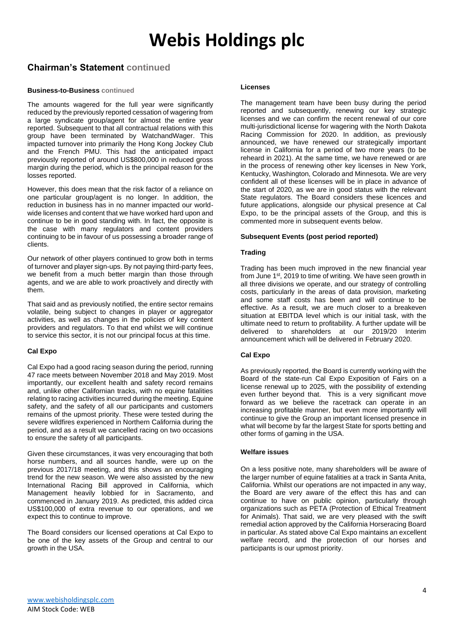### **Chairman's Statement continued**

#### **Business-to-Business continued**

The amounts wagered for the full year were significantly reduced by the previously reported cessation of wagering from a large syndicate group/agent for almost the entire year reported. Subsequent to that all contractual relations with this group have been terminated by WatchandWager. This impacted turnover into primarily the Hong Kong Jockey Club and the French PMU. This had the anticipated impact previously reported of around US\$800,000 in reduced gross margin during the period, which is the principal reason for the losses reported.

However, this does mean that the risk factor of a reliance on one particular group/agent is no longer. In addition, the reduction in business has in no manner impacted our worldwide licenses and content that we have worked hard upon and continue to be in good standing with. In fact, the opposite is the case with many regulators and content providers continuing to be in favour of us possessing a broader range of clients.

Our network of other players continued to grow both in terms of turnover and player sign-ups. By not paying third-party fees, we benefit from a much better margin than those through agents, and we are able to work proactively and directly with them.

That said and as previously notified, the entire sector remains volatile, being subject to changes in player or aggregator activities, as well as changes in the policies of key content providers and regulators. To that end whilst we will continue to service this sector, it is not our principal focus at this time.

#### **Cal Expo**

Cal Expo had a good racing season during the period, running 47 race meets between November 2018 and May 2019. Most importantly, our excellent health and safety record remains and, unlike other Californian tracks, with no equine fatalities relating to racing activities incurred during the meeting. Equine safety, and the safety of all our participants and customers remains of the upmost priority. These were tested during the severe wildfires experienced in Northern California during the period, and as a result we cancelled racing on two occasions to ensure the safety of all participants.

Given these circumstances, it was very encouraging that both horse numbers, and all sources handle, were up on the previous 2017/18 meeting, and this shows an encouraging trend for the new season. We were also assisted by the new International Racing Bill approved in California, which Management heavily lobbied for in Sacramento, and commenced in January 2019. As predicted, this added circa US\$100,000 of extra revenue to our operations, and we expect this to continue to improve.

The Board considers our licensed operations at Cal Expo to be one of the key assets of the Group and central to our growth in the USA.

#### **Licenses**

The management team have been busy during the period reported and subsequently, renewing our key strategic licenses and we can confirm the recent renewal of our core multi-jurisdictional license for wagering with the North Dakota Racing Commission for 2020. In addition, as previously announced, we have renewed our strategically important license in California for a period of two more years (to be reheard in 2021). At the same time, we have renewed or are in the process of renewing other key licenses in New York, Kentucky, Washington, Colorado and Minnesota. We are very confident all of these licenses will be in place in advance of the start of 2020, as we are in good status with the relevant State regulators. The Board considers these licences and future applications, alongside our physical presence at Cal Expo, to be the principal assets of the Group, and this is commented more in subsequent events below.

#### **Subsequent Events (post period reported)**

#### **Trading**

Trading has been much improved in the new financial year from June 1<sup>st</sup>, 2019 to time of writing. We have seen growth in all three divisions we operate, and our strategy of controlling costs, particularly in the areas of data provision, marketing and some staff costs has been and will continue to be effective. As a result, we are much closer to a breakeven situation at EBITDA level which is our initial task, with the ultimate need to return to profitability. A further update will be delivered to shareholders at our 2019/20 Interim announcement which will be delivered in February 2020.

#### **Cal Expo**

As previously reported, the Board is currently working with the Board of the state-run Cal Expo Exposition of Fairs on a license renewal up to 2025, with the possibility of extending even further beyond that. This is a very significant move forward as we believe the racetrack can operate in an increasing profitable manner, but even more importantly will continue to give the Group an important licensed presence in what will become by far the largest State for sports betting and other forms of gaming in the USA.

#### **Welfare issues**

On a less positive note, many shareholders will be aware of the larger number of equine fatalities at a track in Santa Anita, California. Whilst our operations are not impacted in any way, the Board are very aware of the effect this has and can continue to have on public opinion, particularly through organizations such as PETA (Protection of Ethical Treatment for Animals). That said, we are very pleased with the swift remedial action approved by the California Horseracing Board in particular. As stated above Cal Expo maintains an excellent welfare record, and the protection of our horses and participants is our upmost priority.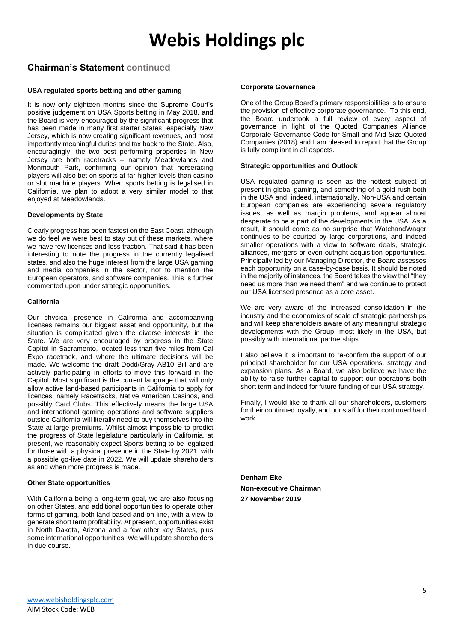### **Chairman's Statement continued**

#### **USA regulated sports betting and other gaming**

It is now only eighteen months since the Supreme Court's positive judgement on USA Sports betting in May 2018, and the Board is very encouraged by the significant progress that has been made in many first starter States, especially New Jersey, which is now creating significant revenues, and most importantly meaningful duties and tax back to the State. Also, encouragingly, the two best performing properties in New Jersey are both racetracks – namely Meadowlands and Monmouth Park, confirming our opinion that horseracing players will also bet on sports at far higher levels than casino or slot machine players. When sports betting is legalised in California, we plan to adopt a very similar model to that enjoyed at Meadowlands.

#### **Developments by State**

Clearly progress has been fastest on the East Coast, although we do feel we were best to stay out of these markets, where we have few licenses and less traction. That said it has been interesting to note the progress in the currently legalised states, and also the huge interest from the large USA gaming and media companies in the sector, not to mention the European operators, and software companies. This is further commented upon under strategic opportunities.

#### **California**

Our physical presence in California and accompanying licenses remains our biggest asset and opportunity, but the situation is complicated given the diverse interests in the State. We are very encouraged by progress in the State Capitol in Sacramento, located less than five miles from Cal Expo racetrack, and where the ultimate decisions will be made. We welcome the draft Dodd/Gray AB10 Bill and are actively participating in efforts to move this forward in the Capitol. Most significant is the current language that will only allow active land-based participants in California to apply for licences, namely Racetracks, Native American Casinos, and possibly Card Clubs. This effectively means the large USA and international gaming operations and software suppliers outside California will literally need to buy themselves into the State at large premiums. Whilst almost impossible to predict the progress of State legislature particularly in California, at present, we reasonably expect Sports betting to be legalized for those with a physical presence in the State by 2021, with a possible go-live date in 2022. We will update shareholders as and when more progress is made.

#### **Other State opportunities**

With California being a long-term goal, we are also focusing on other States, and additional opportunities to operate other forms of gaming, both land-based and on-line, with a view to generate short term profitability. At present, opportunities exist in North Dakota, Arizona and a few other key States, plus some international opportunities. We will update shareholders in due course.

#### **Corporate Governance**

One of the Group Board's primary responsibilities is to ensure the provision of effective corporate governance. To this end, the Board undertook a full review of every aspect of governance in light of the Quoted Companies Alliance Corporate Governance Code for Small and Mid-Size Quoted Companies (2018) and I am pleased to report that the Group is fully compliant in all aspects.

#### **Strategic opportunities and Outlook**

USA regulated gaming is seen as the hottest subject at present in global gaming, and something of a gold rush both in the USA and, indeed, internationally. Non-USA and certain European companies are experiencing severe regulatory issues, as well as margin problems, and appear almost desperate to be a part of the developments in the USA. As a result, it should come as no surprise that WatchandWager continues to be courted by large corporations, and indeed smaller operations with a view to software deals, strategic alliances, mergers or even outright acquisition opportunities. Principally led by our Managing Director, the Board assesses each opportunity on a case-by-case basis. It should be noted in the majority of instances, the Board takes the view that "they need us more than we need them" and we continue to protect our USA licensed presence as a core asset.

We are very aware of the increased consolidation in the industry and the economies of scale of strategic partnerships and will keep shareholders aware of any meaningful strategic developments with the Group, most likely in the USA, but possibly with international partnerships.

I also believe it is important to re-confirm the support of our principal shareholder for our USA operations, strategy and expansion plans. As a Board, we also believe we have the ability to raise further capital to support our operations both short term and indeed for future funding of our USA strategy.

Finally, I would like to thank all our shareholders, customers for their continued loyally, and our staff for their continued hard work.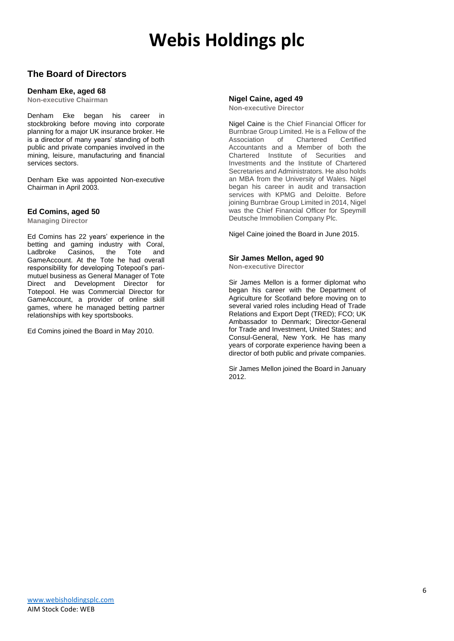### **The Board of Directors**

#### **Denham Eke, aged 68**

**Non-executive Chairman**

Denham Eke began his career in stockbroking before moving into corporate planning for a major UK insurance broker. He is a director of many years' standing of both public and private companies involved in the mining, leisure, manufacturing and financial services sectors.

Denham Eke was appointed Non-executive Chairman in April 2003.

#### **Ed Comins, aged 50**

**Managing Director**

Ed Comins has 22 years' experience in the betting and gaming industry with Coral, Ladbroke Casinos, the Tote and GameAccount. At the Tote he had overall responsibility for developing Totepool's parimutuel business as General Manager of Tote Direct and Development Director for Totepool. He was Commercial Director for GameAccount, a provider of online skill games, where he managed betting partner relationships with key sportsbooks.

Ed Comins joined the Board in May 2010.

## **Nigel Caine, aged 49**

**Non-executive Director**

Nigel Caine is the Chief Financial Officer for Burnbrae Group Limited. He is a Fellow of the<br>Association of Chartered Certified Association of Chartered Accountants and a Member of both the Chartered Institute of Securities and Investments and the Institute of Chartered Secretaries and Administrators. He also holds an MBA from the University of Wales. Nigel began his career in audit and transaction services with KPMG and Deloitte. Before joining Burnbrae Group Limited in 2014, Nigel was the Chief Financial Officer for Speymill Deutsche Immobilien Company Plc.

Nigel Caine joined the Board in June 2015.

#### **Sir James Mellon, aged 90**

**Non-executive Director**

Sir James Mellon is a former diplomat who began his career with the Department of Agriculture for Scotland before moving on to several varied roles including Head of Trade Relations and Export Dept (TRED); FCO; UK Ambassador to Denmark; Director-General for Trade and Investment, United States; and Consul-General, New York. He has many years of corporate experience having been a director of both public and private companies.

Sir James Mellon joined the Board in January 2012.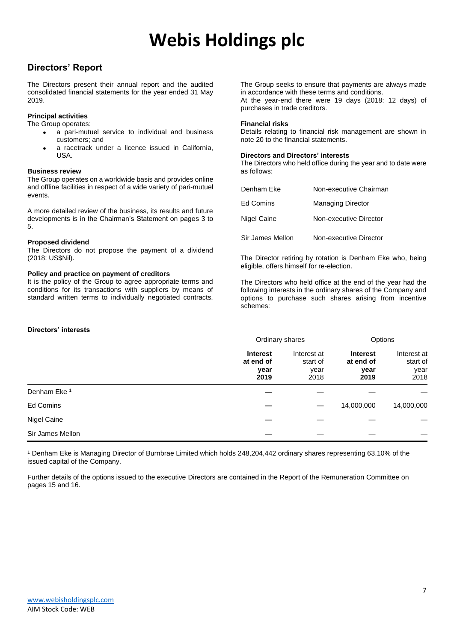### **Directors' Report**

The Directors present their annual report and the audited consolidated financial statements for the year ended 31 May 2019.

#### **Principal activities**

The Group operates:

- a pari-mutuel service to individual and business customers; and
- a racetrack under a licence issued in California. USA.

#### **Business review**

The Group operates on a worldwide basis and provides online and offline facilities in respect of a wide variety of pari-mutuel events.

A more detailed review of the business, its results and future developments is in the Chairman's Statement on pages 3 to 5.

#### **Proposed dividend**

The Directors do not propose the payment of a dividend (2018: US\$Nil).

#### **Policy and practice on payment of creditors**

It is the policy of the Group to agree appropriate terms and conditions for its transactions with suppliers by means of standard written terms to individually negotiated contracts. The Group seeks to ensure that payments are always made in accordance with these terms and conditions. At the year-end there were 19 days (2018: 12 days) of purchases in trade creditors.

#### **Financial risks**

Details relating to financial risk management are shown in note 20 to the financial statements.

#### **Directors and Directors' interests**

The Directors who held office during the year and to date were as follows:

| Denham Eke       | Non-executive Chairman   |
|------------------|--------------------------|
| Ed Comins        | <b>Managing Director</b> |
| Nigel Caine      | Non-executive Director   |
| Sir James Mellon | Non-executive Director   |

The Director retiring by rotation is Denham Eke who, being eligible, offers himself for re-election.

The Directors who held office at the end of the year had the following interests in the ordinary shares of the Company and options to purchase such shares arising from incentive schemes:

#### **Directors' interests**

|                  | Ordinary shares                              |                                         | Options                                      |                                         |
|------------------|----------------------------------------------|-----------------------------------------|----------------------------------------------|-----------------------------------------|
|                  | <b>Interest</b><br>at end of<br>year<br>2019 | Interest at<br>start of<br>year<br>2018 | <b>Interest</b><br>at end of<br>year<br>2019 | Interest at<br>start of<br>year<br>2018 |
| Denham Eke 1     |                                              |                                         |                                              |                                         |
| Ed Comins        |                                              |                                         | 14,000,000                                   | 14,000,000                              |
| Nigel Caine      |                                              |                                         |                                              |                                         |
| Sir James Mellon |                                              |                                         |                                              |                                         |

<sup>1</sup> Denham Eke is Managing Director of Burnbrae Limited which holds 248,204,442 ordinary shares representing 63.10% of the issued capital of the Company.

Further details of the options issued to the executive Directors are contained in the Report of the Remuneration Committee on pages 15 and 16.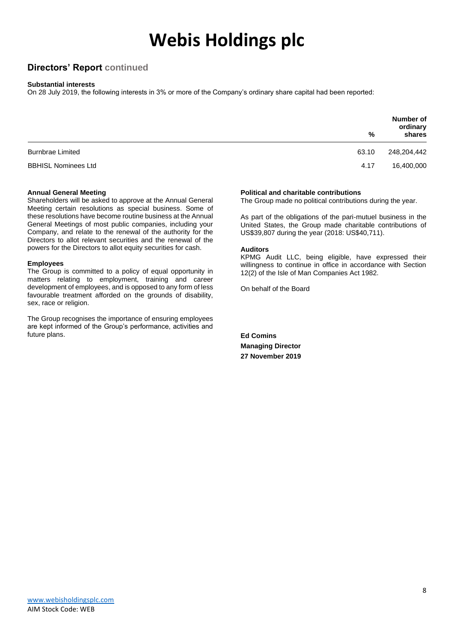### **Directors' Report continued**

#### **Substantial interests**

On 28 July 2019, the following interests in 3% or more of the Company's ordinary share capital had been reported:

|                            | %     | <b>Number of</b><br>ordinary<br>shares |
|----------------------------|-------|----------------------------------------|
| <b>Burnbrae Limited</b>    | 63.10 | 248,204,442                            |
| <b>BBHISL Nominees Ltd</b> | 4.17  | 16,400,000                             |

#### **Annual General Meeting**

Shareholders will be asked to approve at the Annual General Meeting certain resolutions as special business. Some of these resolutions have become routine business at the Annual General Meetings of most public companies, including your Company, and relate to the renewal of the authority for the Directors to allot relevant securities and the renewal of the powers for the Directors to allot equity securities for cash.

#### **Employees**

The Group is committed to a policy of equal opportunity in matters relating to employment, training and career development of employees, and is opposed to any form of less favourable treatment afforded on the grounds of disability, sex, race or religion.

The Group recognises the importance of ensuring employees are kept informed of the Group's performance, activities and future plans.

#### **Political and charitable contributions**

The Group made no political contributions during the year.

As part of the obligations of the pari-mutuel business in the United States, the Group made charitable contributions of US\$39,807 during the year (2018: US\$40,711).

#### **Auditors**

KPMG Audit LLC, being eligible, have expressed their willingness to continue in office in accordance with Section 12(2) of the Isle of Man Companies Act 1982.

On behalf of the Board

**Ed Comins Managing Director 27 November 2019**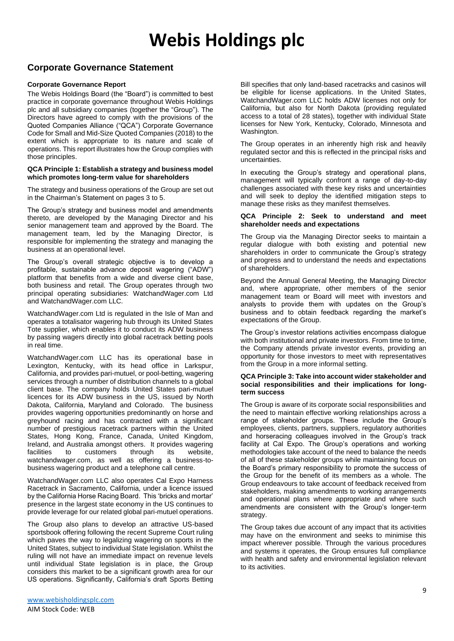### **Corporate Governance Statement**

#### **Corporate Governance Report**

The Webis Holdings Board (the "Board") is committed to best practice in corporate governance throughout Webis Holdings plc and all subsidiary companies (together the "Group"). The Directors have agreed to comply with the provisions of the Quoted Companies Alliance ("QCA") Corporate Governance Code for Small and Mid-Size Quoted Companies (2018) to the extent which is appropriate to its nature and scale of operations. This report illustrates how the Group complies with those principles.

#### **QCA Principle 1: Establish a strategy and business model which promotes long-term value for shareholders**

The strategy and business operations of the Group are set out in the Chairman's Statement on pages 3 to 5.

The Group's strategy and business model and amendments thereto, are developed by the Managing Director and his senior management team and approved by the Board. The management team, led by the Managing Director, is responsible for implementing the strategy and managing the business at an operational level.

The Group's overall strategic objective is to develop a profitable, sustainable advance deposit wagering ("ADW") platform that benefits from a wide and diverse client base, both business and retail. The Group operates through two principal operating subsidiaries: WatchandWager.com Ltd and WatchandWager.com LLC.

WatchandWager.com Ltd is regulated in the Isle of Man and operates a totalisator wagering hub through its United States Tote supplier, which enables it to conduct its ADW business by passing wagers directly into global racetrack betting pools in real time.

WatchandWager.com LLC has its operational base in Lexington, Kentucky, with its head office in Larkspur, California, and provides pari-mutuel, or pool-betting, wagering services through a number of distribution channels to a global client base. The company holds United States pari-mutuel licences for its ADW business in the US, issued by North Dakota, California, Maryland and Colorado. The business provides wagering opportunities predominantly on horse and greyhound racing and has contracted with a significant number of prestigious racetrack partners within the United States, Hong Kong, France, Canada, United Kingdom, Ireland, and Australia amongst others. It provides wagering facilities to customers through its website, watchandwager.com, as well as offering a business-tobusiness wagering product and a telephone call centre.

WatchandWager.com LLC also operates Cal Expo Harness Racetrack in Sacramento, California, under a licence issued by the California Horse Racing Board. This 'bricks and mortar' presence in the largest state economy in the US continues to provide leverage for our related global pari-mutuel operations.

The Group also plans to develop an attractive US-based sportsbook offering following the recent Supreme Court ruling which paves the way to legalizing wagering on sports in the United States, subject to individual State legislation. Whilst the ruling will not have an immediate impact on revenue levels until individual State legislation is in place, the Group considers this market to be a significant growth area for our US operations. Significantly, California's draft Sports Betting Bill specifies that only land-based racetracks and casinos will be eligible for license applications. In the United States, WatchandWager.com LLC holds ADW licenses not only for California, but also for North Dakota (providing regulated access to a total of 28 states), together with individual State licenses for New York, Kentucky, Colorado, Minnesota and Washington.

The Group operates in an inherently high risk and heavily regulated sector and this is reflected in the principal risks and uncertainties.

In executing the Group's strategy and operational plans, management will typically confront a range of day-to-day challenges associated with these key risks and uncertainties and will seek to deploy the identified mitigation steps to manage these risks as they manifest themselves.

#### **QCA Principle 2: Seek to understand and meet shareholder needs and expectations**

The Group via the Managing Director seeks to maintain a regular dialogue with both existing and potential new shareholders in order to communicate the Group's strategy and progress and to understand the needs and expectations of shareholders.

Beyond the Annual General Meeting, the Managing Director and, where appropriate, other members of the senior management team or Board will meet with investors and analysts to provide them with updates on the Group's business and to obtain feedback regarding the market's expectations of the Group.

The Group's investor relations activities encompass dialogue with both institutional and private investors. From time to time, the Company attends private investor events, providing an opportunity for those investors to meet with representatives from the Group in a more informal setting.

#### **QCA Principle 3: Take into account wider stakeholder and social responsibilities and their implications for longterm success**

The Group is aware of its corporate social responsibilities and the need to maintain effective working relationships across a range of stakeholder groups. These include the Group's employees, clients, partners, suppliers, regulatory authorities and horseracing colleagues involved in the Group's track facility at Cal Expo. The Group's operations and working methodologies take account of the need to balance the needs of all of these stakeholder groups while maintaining focus on the Board's primary responsibility to promote the success of the Group for the benefit of its members as a whole. The Group endeavours to take account of feedback received from stakeholders, making amendments to working arrangements and operational plans where appropriate and where such amendments are consistent with the Group's longer-term strategy.

The Group takes due account of any impact that its activities may have on the environment and seeks to minimise this impact wherever possible. Through the various procedures and systems it operates, the Group ensures full compliance with health and safety and environmental legislation relevant to its activities.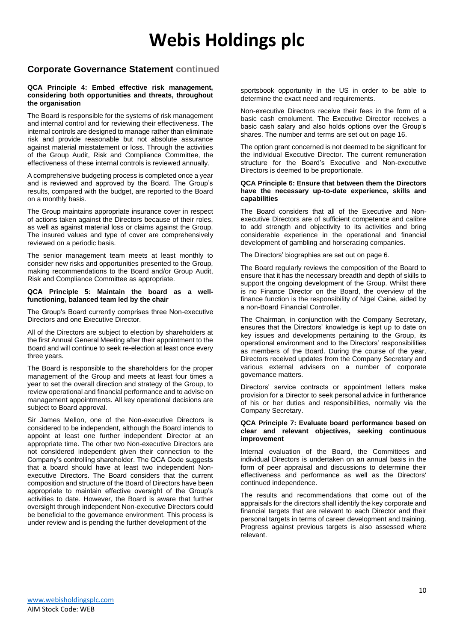### **Corporate Governance Statement continued**

#### **QCA Principle 4: Embed effective risk management, considering both opportunities and threats, throughout the organisation**

The Board is responsible for the systems of risk management and internal control and for reviewing their effectiveness. The internal controls are designed to manage rather than eliminate risk and provide reasonable but not absolute assurance against material misstatement or loss. Through the activities of the Group Audit, Risk and Compliance Committee, the effectiveness of these internal controls is reviewed annually.

A comprehensive budgeting process is completed once a year and is reviewed and approved by the Board. The Group's results, compared with the budget, are reported to the Board on a monthly basis.

The Group maintains appropriate insurance cover in respect of actions taken against the Directors because of their roles, as well as against material loss or claims against the Group. The insured values and type of cover are comprehensively reviewed on a periodic basis.

The senior management team meets at least monthly to consider new risks and opportunities presented to the Group, making recommendations to the Board and/or Group Audit, Risk and Compliance Committee as appropriate.

#### **QCA Principle 5: Maintain the board as a wellfunctioning, balanced team led by the chair**

The Group's Board currently comprises three Non-executive Directors and one Executive Director.

All of the Directors are subject to election by shareholders at the first Annual General Meeting after their appointment to the Board and will continue to seek re-election at least once every three years.

The Board is responsible to the shareholders for the proper management of the Group and meets at least four times a year to set the overall direction and strategy of the Group, to review operational and financial performance and to advise on management appointments. All key operational decisions are subject to Board approval.

Sir James Mellon, one of the Non-executive Directors is considered to be independent, although the Board intends to appoint at least one further independent Director at an appropriate time. The other two Non-executive Directors are not considered independent given their connection to the Company's controlling shareholder. The QCA Code suggests that a board should have at least two independent Nonexecutive Directors. The Board considers that the current composition and structure of the Board of Directors have been appropriate to maintain effective oversight of the Group's activities to date. However, the Board is aware that further oversight through independent Non-executive Directors could be beneficial to the governance environment. This process is under review and is pending the further development of the

sportsbook opportunity in the US in order to be able to determine the exact need and requirements.

Non-executive Directors receive their fees in the form of a basic cash emolument. The Executive Director receives a basic cash salary and also holds options over the Group's shares. The number and terms are set out on page 16.

The option grant concerned is not deemed to be significant for the individual Executive Director. The current remuneration structure for the Board's Executive and Non-executive Directors is deemed to be proportionate.

#### **QCA Principle 6: Ensure that between them the Directors have the necessary up-to-date experience, skills and capabilities**

The Board considers that all of the Executive and Nonexecutive Directors are of sufficient competence and calibre to add strength and objectivity to its activities and bring considerable experience in the operational and financial development of gambling and horseracing companies.

The Directors' biographies are set out on page 6.

The Board regularly reviews the composition of the Board to ensure that it has the necessary breadth and depth of skills to support the ongoing development of the Group. Whilst there is no Finance Director on the Board, the overview of the finance function is the responsibility of Nigel Caine, aided by a non-Board Financial Controller.

The Chairman, in conjunction with the Company Secretary, ensures that the Directors' knowledge is kept up to date on key issues and developments pertaining to the Group, its operational environment and to the Directors' responsibilities as members of the Board. During the course of the year, Directors received updates from the Company Secretary and various external advisers on a number of corporate governance matters.

Directors' service contracts or appointment letters make provision for a Director to seek personal advice in furtherance of his or her duties and responsibilities, normally via the Company Secretary.

#### **QCA Principle 7: Evaluate board performance based on clear and relevant objectives, seeking continuous improvement**

Internal evaluation of the Board, the Committees and individual Directors is undertaken on an annual basis in the form of peer appraisal and discussions to determine their effectiveness and performance as well as the Directors' continued independence.

The results and recommendations that come out of the appraisals for the directors shall identify the key corporate and financial targets that are relevant to each Director and their personal targets in terms of career development and training. Progress against previous targets is also assessed where relevant.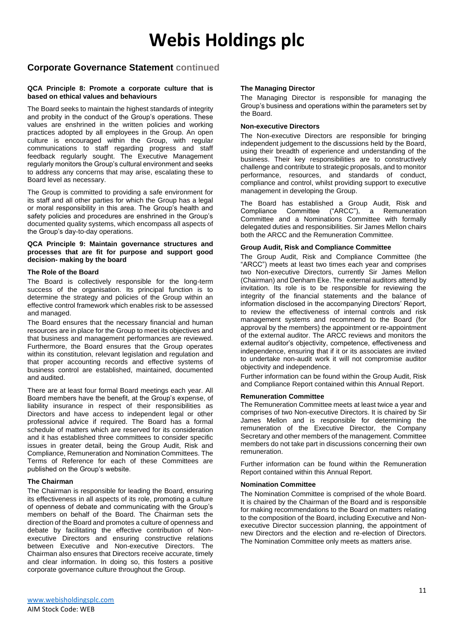### **Corporate Governance Statement continued**

#### **QCA Principle 8: Promote a corporate culture that is based on ethical values and behaviours**

The Board seeks to maintain the highest standards of integrity and probity in the conduct of the Group's operations. These values are enshrined in the written policies and working practices adopted by all employees in the Group. An open culture is encouraged within the Group, with regular communications to staff regarding progress and staff feedback regularly sought. The Executive Management regularly monitors the Group's cultural environment and seeks to address any concerns that may arise, escalating these to Board level as necessary.

The Group is committed to providing a safe environment for its staff and all other parties for which the Group has a legal or moral responsibility in this area. The Group's health and safety policies and procedures are enshrined in the Group's documented quality systems, which encompass all aspects of the Group's day-to-day operations.

#### **QCA Principle 9: Maintain governance structures and processes that are fit for purpose and support good decision- making by the board**

#### **The Role of the Board**

The Board is collectively responsible for the long-term success of the organisation. Its principal function is to determine the strategy and policies of the Group within an effective control framework which enables risk to be assessed and managed.

The Board ensures that the necessary financial and human resources are in place for the Group to meet its objectives and that business and management performances are reviewed. Furthermore, the Board ensures that the Group operates within its constitution, relevant legislation and regulation and that proper accounting records and effective systems of business control are established, maintained, documented and audited.

There are at least four formal Board meetings each year. All Board members have the benefit, at the Group's expense, of liability insurance in respect of their responsibilities as Directors and have access to independent legal or other professional advice if required. The Board has a formal schedule of matters which are reserved for its consideration and it has established three committees to consider specific issues in greater detail, being the Group Audit, Risk and Compliance, Remuneration and Nomination Committees. The Terms of Reference for each of these Committees are published on the Group's website.

#### **The Chairman**

The Chairman is responsible for leading the Board, ensuring its effectiveness in all aspects of its role, promoting a culture of openness of debate and communicating with the Group's members on behalf of the Board. The Chairman sets the direction of the Board and promotes a culture of openness and debate by facilitating the effective contribution of Nonexecutive Directors and ensuring constructive relations between Executive and Non-executive Directors. The Chairman also ensures that Directors receive accurate, timely and clear information. In doing so, this fosters a positive corporate governance culture throughout the Group.

#### **The Managing Director**

The Managing Director is responsible for managing the Group's business and operations within the parameters set by the Board.

#### **Non-executive Directors**

The Non-executive Directors are responsible for bringing independent judgement to the discussions held by the Board, using their breadth of experience and understanding of the business. Their key responsibilities are to constructively challenge and contribute to strategic proposals, and to monitor performance, resources, and standards of conduct, compliance and control, whilst providing support to executive management in developing the Group.

The Board has established a Group Audit, Risk and Compliance Committee ("ARCC"), a Remuneration Committee and a Nominations Committee with formally delegated duties and responsibilities. Sir James Mellon chairs both the ARCC and the Remuneration Committee.

#### **Group Audit, Risk and Compliance Committee**

The Group Audit, Risk and Compliance Committee (the "ARCC") meets at least two times each year and comprises two Non-executive Directors, currently Sir James Mellon (Chairman) and Denham Eke. The external auditors attend by invitation. Its role is to be responsible for reviewing the integrity of the financial statements and the balance of information disclosed in the accompanying Directors' Report, to review the effectiveness of internal controls and risk management systems and recommend to the Board (for approval by the members) the appointment or re-appointment of the external auditor. The ARCC reviews and monitors the external auditor's objectivity, competence, effectiveness and independence, ensuring that if it or its associates are invited to undertake non-audit work it will not compromise auditor objectivity and independence.

Further information can be found within the Group Audit, Risk and Compliance Report contained within this Annual Report.

#### **Remuneration Committee**

The Remuneration Committee meets at least twice a year and comprises of two Non-executive Directors. It is chaired by Sir James Mellon and is responsible for determining the remuneration of the Executive Director, the Company Secretary and other members of the management. Committee members do not take part in discussions concerning their own remuneration.

Further information can be found within the Remuneration Report contained within this Annual Report.

#### **Nomination Committee**

The Nomination Committee is comprised of the whole Board. It is chaired by the Chairman of the Board and is responsible for making recommendations to the Board on matters relating to the composition of the Board, including Executive and Nonexecutive Director succession planning, the appointment of new Directors and the election and re-election of Directors. The Nomination Committee only meets as matters arise.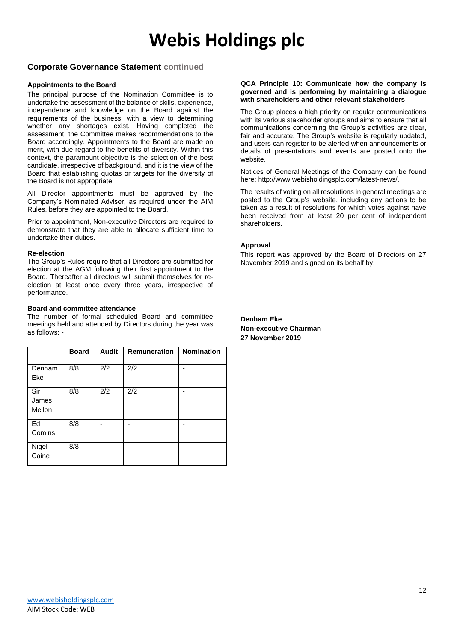### **Corporate Governance Statement continued**

#### **Appointments to the Board**

The principal purpose of the Nomination Committee is to undertake the assessment of the balance of skills, experience, independence and knowledge on the Board against the requirements of the business, with a view to determining whether any shortages exist. Having completed the assessment, the Committee makes recommendations to the Board accordingly. Appointments to the Board are made on merit, with due regard to the benefits of diversity. Within this context, the paramount objective is the selection of the best candidate, irrespective of background, and it is the view of the Board that establishing quotas or targets for the diversity of the Board is not appropriate.

All Director appointments must be approved by the Company's Nominated Adviser, as required under the AIM Rules, before they are appointed to the Board.

Prior to appointment, Non-executive Directors are required to demonstrate that they are able to allocate sufficient time to undertake their duties.

#### **Re-election**

The Group's Rules require that all Directors are submitted for election at the AGM following their first appointment to the Board. Thereafter all directors will submit themselves for reelection at least once every three years, irrespective of performance.

#### **Board and committee attendance**

The number of formal scheduled Board and committee meetings held and attended by Directors during the year was as follows: -

|                        | <b>Board</b> | <b>Audit</b> | <b>Remuneration</b> | <b>Nomination</b> |
|------------------------|--------------|--------------|---------------------|-------------------|
| Denham<br>Eke          | 8/8          | 2/2          | 2/2                 |                   |
| Sir<br>James<br>Mellon | 8/8          | 2/2          | 2/2                 |                   |
| Ed<br>Comins           | 8/8          |              |                     |                   |
| Nigel<br>Caine         | 8/8          |              |                     |                   |

#### **QCA Principle 10: Communicate how the company is governed and is performing by maintaining a dialogue with shareholders and other relevant stakeholders**

The Group places a high priority on regular communications with its various stakeholder groups and aims to ensure that all communications concerning the Group's activities are clear, fair and accurate. The Group's website is regularly updated, and users can register to be alerted when announcements or details of presentations and events are posted onto the website.

Notices of General Meetings of the Company can be found here: http://www.webisholdingsplc.com/latest-news/.

The results of voting on all resolutions in general meetings are posted to the Group's website, including any actions to be taken as a result of resolutions for which votes against have been received from at least 20 per cent of independent shareholders.

#### **Approval**

This report was approved by the Board of Directors on 27 November 2019 and signed on its behalf by: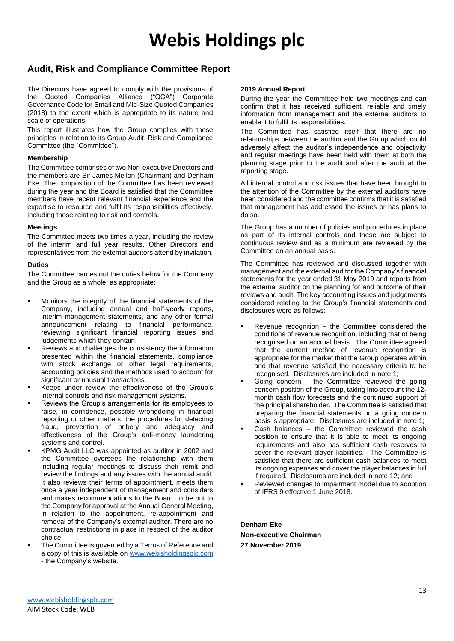### **Audit, Risk and Compliance Committee Report**

The Directors have agreed to comply with the provisions of the Quoted Companies Alliance ("QCA") Corporate Governance Code for Small and Mid-Size Quoted Companies (2018) to the extent which is appropriate to its nature and scale of operations.

This report illustrates how the Group complies with those principles in relation to its Group Audit, Risk and Compliance Committee (the "Committee").

#### **Membership**

The Committee comprises of two Non-executive Directors and the members are Sir James Mellon (Chairman) and Denham Eke. The composition of the Committee has been reviewed during the year and the Board is satisfied that the Committee members have recent relevant financial experience and the expertise to resource and fulfil its responsibilities effectively, including those relating to risk and controls.

#### **Meetings**

The Committee meets two times a year, including the review of the interim and full year results. Other Directors and representatives from the external auditors attend by invitation.

#### **Duties**

The Committee carries out the duties below for the Company and the Group as a whole, as appropriate:

- Monitors the integrity of the financial statements of the Company, including annual and half-yearly reports, interim management statements, and any other formal announcement relating to financial performance, reviewing significant financial reporting issues and judgements which they contain.
- Reviews and challenges the consistency the information presented within the financial statements, compliance with stock exchange or other legal requirements, accounting policies and the methods used to account for significant or unusual transactions.
- Keeps under review the effectiveness of the Group's internal controls and risk management systems.
- Reviews the Group's arrangements for its employees to raise, in confidence, possible wrongdoing in financial reporting or other matters, the procedures for detecting fraud, prevention of bribery and adequacy and effectiveness of the Group's anti-money laundering systems and control.
- KPMG Audit LLC was appointed as auditor in 2002 and the Committee oversees the relationship with them including regular meetings to discuss their remit and review the findings and any issues with the annual audit. It also reviews their terms of appointment, meets them once a year independent of management and considers and makes recommendations to the Board, to be put to the Company for approval at the Annual General Meeting, in relation to the appointment, re-appointment and removal of the Company's external auditor. There are no contractual restrictions in place in respect of the auditor choice.
- The Committee is governed by a Terms of Reference and a copy of this is available on [www.webisholdingsplc.com](http://www.webisholdingsplc.com/) - the Company's website.

#### **2019 Annual Report**

During the year the Committee held two meetings and can confirm that it has received sufficient, reliable and timely information from management and the external auditors to enable it to fulfil its responsibilities.

The Committee has satisfied itself that there are no relationships between the auditor and the Group which could adversely affect the auditor's independence and objectivity and regular meetings have been held with them at both the planning stage prior to the audit and after the audit at the reporting stage.

All internal control and risk issues that have been brought to the attention of the Committee by the external auditors have been considered and the committee confirms that it is satisfied that management has addressed the issues or has plans to do so.

The Group has a number of policies and procedures in place as part of its internal controls and these are subject to continuous review and as a minimum are reviewed by the Committee on an annual basis.

The Committee has reviewed and discussed together with management and the external auditor the Company's financial statements for the year ended 31 May 2019 and reports from the external auditor on the planning for and outcome of their reviews and audit. The key accounting issues and judgements considered relating to the Group's financial statements and disclosures were as follows:

- Revenue recognition  $-$  the Committee considered the conditions of revenue recognition, including that of being recognised on an accrual basis. The Committee agreed that the current method of revenue recognition is appropriate for the market that the Group operates within and that revenue satisfied the necessary criteria to be recognised. Disclosures are included in note 1;
- Going concern  $-$  the Committee reviewed the going concern position of the Group, taking into account the 12 month cash flow forecasts and the continued support of the principal shareholder. The Committee is satisfied that preparing the financial statements on a going concern basis is appropriate. Disclosures are included in note 1;
- Cash balances  $-$  the Committee reviewed the cash position to ensure that it is able to meet its ongoing requirements and also has sufficient cash reserves to cover the relevant player liabilities. The Committee is satisfied that there are sufficient cash balances to meet its ongoing expenses and cover the player balances in full if required. Disclosures are included in note 12; and
- Reviewed changes to impairment model due to adoption of IFRS 9 effective 1 June 2018.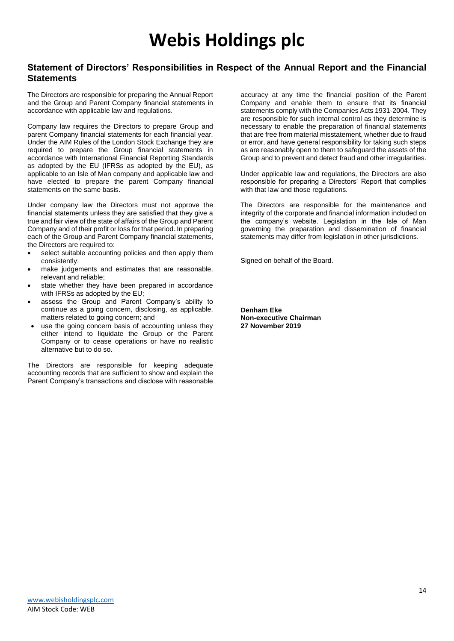### **Statement of Directors' Responsibilities in Respect of the Annual Report and the Financial Statements**

The Directors are responsible for preparing the Annual Report and the Group and Parent Company financial statements in accordance with applicable law and regulations.

Company law requires the Directors to prepare Group and parent Company financial statements for each financial year. Under the AIM Rules of the London Stock Exchange they are required to prepare the Group financial statements in accordance with International Financial Reporting Standards as adopted by the EU (IFRSs as adopted by the EU), as applicable to an Isle of Man company and applicable law and have elected to prepare the parent Company financial statements on the same basis.

Under company law the Directors must not approve the financial statements unless they are satisfied that they give a true and fair view of the state of affairs of the Group and Parent Company and of their profit or loss for that period. In preparing each of the Group and Parent Company financial statements, the Directors are required to:

- select suitable accounting policies and then apply them consistently;
- make judgements and estimates that are reasonable, relevant and reliable;
- state whether they have been prepared in accordance with IFRSs as adopted by the EU;
- assess the Group and Parent Company's ability to continue as a going concern, disclosing, as applicable, matters related to going concern; and
- use the going concern basis of accounting unless they either intend to liquidate the Group or the Parent Company or to cease operations or have no realistic alternative but to do so.

The Directors are responsible for keeping adequate accounting records that are sufficient to show and explain the Parent Company's transactions and disclose with reasonable accuracy at any time the financial position of the Parent Company and enable them to ensure that its financial statements comply with the Companies Acts 1931-2004. They are responsible for such internal control as they determine is necessary to enable the preparation of financial statements that are free from material misstatement, whether due to fraud or error, and have general responsibility for taking such steps as are reasonably open to them to safeguard the assets of the Group and to prevent and detect fraud and other irregularities.

Under applicable law and regulations, the Directors are also responsible for preparing a Directors' Report that complies with that law and those regulations.

The Directors are responsible for the maintenance and integrity of the corporate and financial information included on the company's website. Legislation in the Isle of Man governing the preparation and dissemination of financial statements may differ from legislation in other jurisdictions.

Signed on behalf of the Board.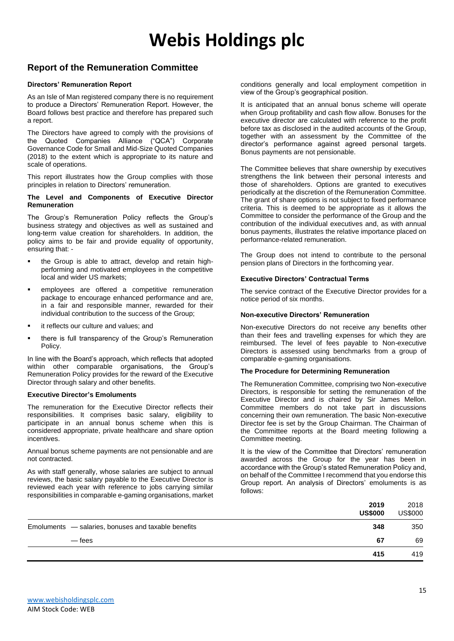### **Report of the Remuneration Committee**

#### **Directors' Remuneration Report**

As an Isle of Man registered company there is no requirement to produce a Directors' Remuneration Report. However, the Board follows best practice and therefore has prepared such a report.

The Directors have agreed to comply with the provisions of the Quoted Companies Alliance ("QCA") Corporate Governance Code for Small and Mid-Size Quoted Companies (2018) to the extent which is appropriate to its nature and scale of operations.

This report illustrates how the Group complies with those principles in relation to Directors' remuneration.

#### **The Level and Components of Executive Director Remuneration**

The Group's Remuneration Policy reflects the Group's business strategy and objectives as well as sustained and long-term value creation for shareholders. In addition, the policy aims to be fair and provide equality of opportunity, ensuring that: -

- the Group is able to attract, develop and retain highperforming and motivated employees in the competitive local and wider US markets;
- employees are offered a competitive remuneration package to encourage enhanced performance and are, in a fair and responsible manner, rewarded for their individual contribution to the success of the Group;
- it reflects our culture and values; and
- there is full transparency of the Group's Remuneration Policy.

In line with the Board's approach, which reflects that adopted within other comparable organisations, the Group's Remuneration Policy provides for the reward of the Executive Director through salary and other benefits.

#### **Executive Director's Emoluments**

The remuneration for the Executive Director reflects their responsibilities. It comprises basic salary, eligibility to participate in an annual bonus scheme when this is considered appropriate, private healthcare and share option incentives.

Annual bonus scheme payments are not pensionable and are not contracted.

As with staff generally, whose salaries are subject to annual reviews, the basic salary payable to the Executive Director is reviewed each year with reference to jobs carrying similar responsibilities in comparable e-gaming organisations, market

conditions generally and local employment competition in view of the Group's geographical position.

It is anticipated that an annual bonus scheme will operate when Group profitability and cash flow allow. Bonuses for the executive director are calculated with reference to the profit before tax as disclosed in the audited accounts of the Group, together with an assessment by the Committee of the director's performance against agreed personal targets. Bonus payments are not pensionable.

The Committee believes that share ownership by executives strengthens the link between their personal interests and those of shareholders. Options are granted to executives periodically at the discretion of the Remuneration Committee. The grant of share options is not subject to fixed performance criteria. This is deemed to be appropriate as it allows the Committee to consider the performance of the Group and the contribution of the individual executives and, as with annual bonus payments, illustrates the relative importance placed on performance-related remuneration.

The Group does not intend to contribute to the personal pension plans of Directors in the forthcoming year.

#### **Executive Directors' Contractual Terms**

The service contract of the Executive Director provides for a notice period of six months.

#### **Non-executive Directors' Remuneration**

Non-executive Directors do not receive any benefits other than their fees and travelling expenses for which they are reimbursed. The level of fees payable to Non-executive Directors is assessed using benchmarks from a group of comparable e-gaming organisations.

#### **The Procedure for Determining Remuneration**

The Remuneration Committee, comprising two Non-executive Directors, is responsible for setting the remuneration of the Executive Director and is chaired by Sir James Mellon. Committee members do not take part in discussions concerning their own remuneration. The basic Non-executive Director fee is set by the Group Chairman. The Chairman of the Committee reports at the Board meeting following a Committee meeting.

It is the view of the Committee that Directors' remuneration awarded across the Group for the year has been in accordance with the Group's stated Remuneration Policy and, on behalf of the Committee I recommend that you endorse this Group report. An analysis of Directors' emoluments is as follows:

| 2019<br><b>US\$000</b>                                     | 2018<br><b>US\$000</b> |
|------------------------------------------------------------|------------------------|
| 348<br>Emoluments - salaries, bonuses and taxable benefits | 350                    |
| 67<br>— fees                                               | 69                     |
| 415                                                        | 419                    |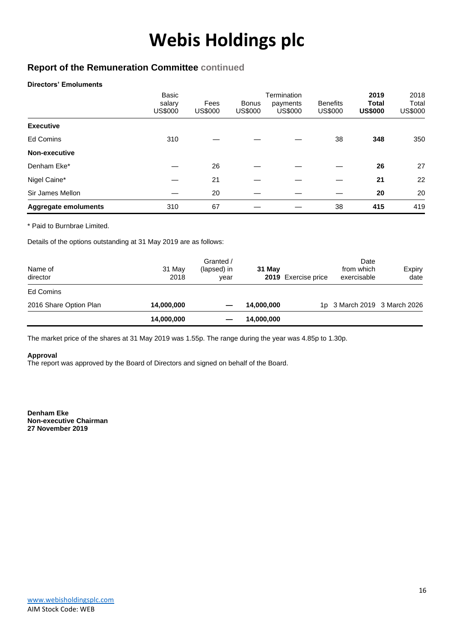### **Report of the Remuneration Committee continued**

#### **Directors' Emoluments**

|                             | Basic<br>salary<br><b>US\$000</b> | Fees<br><b>US\$000</b> | <b>Bonus</b><br>US\$000 | Termination<br>payments<br><b>US\$000</b> | <b>Benefits</b><br><b>US\$000</b> | 2019<br><b>Total</b><br><b>US\$000</b> | 2018<br>Total<br><b>US\$000</b> |
|-----------------------------|-----------------------------------|------------------------|-------------------------|-------------------------------------------|-----------------------------------|----------------------------------------|---------------------------------|
| <b>Executive</b>            |                                   |                        |                         |                                           |                                   |                                        |                                 |
| Ed Comins                   | 310                               |                        |                         |                                           | 38                                | 348                                    | 350                             |
| Non-executive               |                                   |                        |                         |                                           |                                   |                                        |                                 |
| Denham Eke*                 |                                   | 26                     |                         |                                           |                                   | 26                                     | 27                              |
| Nigel Caine*                |                                   | 21                     |                         |                                           |                                   | 21                                     | 22                              |
| Sir James Mellon            |                                   | 20                     |                         |                                           |                                   | 20                                     | 20                              |
| <b>Aggregate emoluments</b> | 310                               | 67                     |                         |                                           | 38                                | 415                                    | 419                             |

\* Paid to Burnbrae Limited.

Details of the options outstanding at 31 May 2019 are as follows:

| Name of<br>director    | 31 May<br>2018 | Granted /<br>(lapsed) in<br>vear | 31 May     | 2019 Exercise price | Date<br>from which<br>exercisable | Expiry<br>date |
|------------------------|----------------|----------------------------------|------------|---------------------|-----------------------------------|----------------|
| Ed Comins              |                |                                  |            |                     |                                   |                |
| 2016 Share Option Plan | 14,000,000     |                                  | 14,000,000 |                     | 1p 3 March 2019 3 March 2026      |                |
|                        | 14,000,000     |                                  | 14,000,000 |                     |                                   |                |

The market price of the shares at 31 May 2019 was 1.55p. The range during the year was 4.85p to 1.30p.

#### **Approval**

The report was approved by the Board of Directors and signed on behalf of the Board.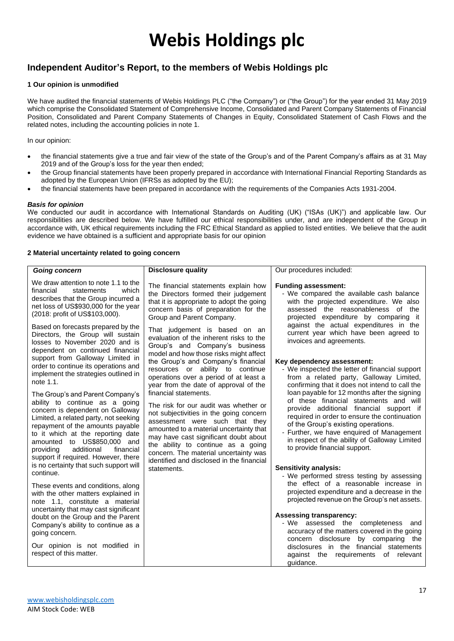### **Independent Auditor's Report, to the members of Webis Holdings plc**

#### **1 Our opinion is unmodified**

We have audited the financial statements of Webis Holdings PLC ("the Company") or ("the Group") for the year ended 31 May 2019 which comprise the Consolidated Statement of Comprehensive Income, Consolidated and Parent Company Statements of Financial Position, Consolidated and Parent Company Statements of Changes in Equity, Consolidated Statement of Cash Flows and the related notes, including the accounting policies in note 1.

In our opinion:

- the financial statements give a true and fair view of the state of the Group's and of the Parent Company's affairs as at 31 May 2019 and of the Group's loss for the year then ended;
- the Group financial statements have been properly prepared in accordance with International Financial Reporting Standards as adopted by the European Union (IFRSs as adopted by the EU);
- the financial statements have been prepared in accordance with the requirements of the Companies Acts 1931-2004.

#### *Basis for opinion*

We conducted our audit in accordance with International Standards on Auditing (UK) ("ISAs (UK)") and applicable law. Our responsibilities are described below. We have fulfilled our ethical responsibilities under, and are independent of the Group in accordance with, UK ethical requirements including the FRC Ethical Standard as applied to listed entities. We believe that the audit evidence we have obtained is a sufficient and appropriate basis for our opinion

#### **2 Material uncertainty related to going concern**

| <b>Going concern</b>                                                                                                                                                                                                                                                                                                                                                             | <b>Disclosure quality</b>                                                                                                                                                                                                                                                                                                                                   | Our procedures included:                                                                                                                                                                                                                                                                                                                                |
|----------------------------------------------------------------------------------------------------------------------------------------------------------------------------------------------------------------------------------------------------------------------------------------------------------------------------------------------------------------------------------|-------------------------------------------------------------------------------------------------------------------------------------------------------------------------------------------------------------------------------------------------------------------------------------------------------------------------------------------------------------|---------------------------------------------------------------------------------------------------------------------------------------------------------------------------------------------------------------------------------------------------------------------------------------------------------------------------------------------------------|
| We draw attention to note 1.1 to the<br>financial<br>statements<br>which<br>describes that the Group incurred a<br>net loss of US\$930,000 for the year<br>(2018: profit of US\$103,000).                                                                                                                                                                                        | The financial statements explain how<br>the Directors formed their judgement<br>that it is appropriate to adopt the going<br>concern basis of preparation for the<br>Group and Parent Company.                                                                                                                                                              | <b>Funding assessment:</b><br>- We compared the available cash balance<br>with the projected expenditure. We also<br>assessed the reasonableness of the<br>projected expenditure by comparing it                                                                                                                                                        |
| Based on forecasts prepared by the<br>Directors, the Group will sustain<br>losses to November 2020 and is<br>dependent on continued financial<br>support from Galloway Limited in<br>order to continue its operations and<br>implement the strategies outlined in<br>note 1.1.                                                                                                   | That judgement is based on an<br>evaluation of the inherent risks to the<br>Group's and Company's business<br>model and how those risks might affect<br>the Group's and Company's financial<br>resources or ability to continue<br>operations over a period of at least a<br>year from the date of approval of the                                          | against the actual expenditures in the<br>current year which have been agreed to<br>invoices and agreements.<br>Key dependency assessment:<br>- We inspected the letter of financial support<br>from a related party, Galloway Limited,<br>confirming that it does not intend to call the                                                               |
| The Group's and Parent Company's<br>ability to continue as a going<br>concern is dependent on Galloway<br>Limited, a related party, not seeking<br>repayment of the amounts payable<br>to it which at the reporting date<br>amounted to US\$850,000 and<br>additional<br>providing<br>financial<br>support if required. However, there<br>is no certainty that such support will | financial statements.<br>The risk for our audit was whether or<br>not subjectivities in the going concern<br>assessment were such that they<br>amounted to a material uncertainty that<br>may have cast significant doubt about<br>the ability to continue as a going<br>concern. The material uncertainty was<br>identified and disclosed in the financial | loan payable for 12 months after the signing<br>of these financial statements and will<br>provide additional financial support if<br>required in order to ensure the continuation<br>of the Group's existing operations.<br>- Further, we have enquired of Management<br>in respect of the ability of Galloway Limited<br>to provide financial support. |
| continue.<br>These events and conditions, along<br>with the other matters explained in<br>note 1.1, constitute a material                                                                                                                                                                                                                                                        | statements.                                                                                                                                                                                                                                                                                                                                                 | <b>Sensitivity analysis:</b><br>- We performed stress testing by assessing<br>the effect of a reasonable increase in<br>projected expenditure and a decrease in the<br>projected revenue on the Group's net assets.                                                                                                                                     |
| uncertainty that may cast significant<br>doubt on the Group and the Parent<br>Company's ability to continue as a<br>going concern.<br>Our opinion is not modified in                                                                                                                                                                                                             |                                                                                                                                                                                                                                                                                                                                                             | <b>Assessing transparency:</b><br>- We assessed the completeness<br>and<br>accuracy of the matters covered in the going<br>concern disclosure<br>by comparing the<br>disclosures in the financial statements                                                                                                                                            |
| respect of this matter.                                                                                                                                                                                                                                                                                                                                                          |                                                                                                                                                                                                                                                                                                                                                             | against the requirements of relevant<br>quidance.                                                                                                                                                                                                                                                                                                       |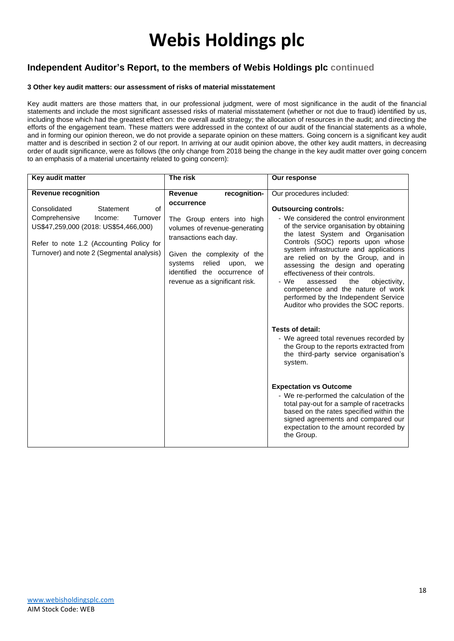### **Independent Auditor's Report, to the members of Webis Holdings plc continued**

#### **3 Other key audit matters: our assessment of risks of material misstatement**

Key audit matters are those matters that, in our professional judgment, were of most significance in the audit of the financial statements and include the most significant assessed risks of material misstatement (whether or not due to fraud) identified by us, including those which had the greatest effect on: the overall audit strategy; the allocation of resources in the audit; and directing the efforts of the engagement team. These matters were addressed in the context of our audit of the financial statements as a whole, and in forming our opinion thereon, we do not provide a separate opinion on these matters. Going concern is a significant key audit matter and is described in section 2 of our report. In arriving at our audit opinion above, the other key audit matters, in decreasing order of audit significance, were as follows (the only change from 2018 being the change in the key audit matter over going concern to an emphasis of a material uncertainty related to going concern):

| Key audit matter                                                                                                                                                                                          | The risk                                                                                                                                                                                                                                 | Our response                                                                                                                                                                                                                                                                                                                                                                                                                                                                                                                                                                                                                                                                                                                                                                                                                                                                                                                                             |
|-----------------------------------------------------------------------------------------------------------------------------------------------------------------------------------------------------------|------------------------------------------------------------------------------------------------------------------------------------------------------------------------------------------------------------------------------------------|----------------------------------------------------------------------------------------------------------------------------------------------------------------------------------------------------------------------------------------------------------------------------------------------------------------------------------------------------------------------------------------------------------------------------------------------------------------------------------------------------------------------------------------------------------------------------------------------------------------------------------------------------------------------------------------------------------------------------------------------------------------------------------------------------------------------------------------------------------------------------------------------------------------------------------------------------------|
| <b>Revenue recognition</b>                                                                                                                                                                                | recognition-<br>Revenue                                                                                                                                                                                                                  | Our procedures included:                                                                                                                                                                                                                                                                                                                                                                                                                                                                                                                                                                                                                                                                                                                                                                                                                                                                                                                                 |
| Consolidated<br>of<br>Statement<br>Comprehensive<br>Income:<br>Turnover<br>US\$47,259,000 (2018: US\$54,466,000)<br>Refer to note 1.2 (Accounting Policy for<br>Turnover) and note 2 (Segmental analysis) | occurrence<br>The Group enters into high<br>volumes of revenue-generating<br>transactions each day.<br>Given the complexity of the<br>relied<br>systems<br>upon,<br>we<br>identified the occurrence of<br>revenue as a significant risk. | <b>Outsourcing controls:</b><br>- We considered the control environment<br>of the service organisation by obtaining<br>the latest System and Organisation<br>Controls (SOC) reports upon whose<br>system infrastructure and applications<br>are relied on by the Group, and in<br>assessing the design and operating<br>effectiveness of their controls.<br>- We<br>the<br>objectivity,<br>assessed<br>competence and the nature of work<br>performed by the Independent Service<br>Auditor who provides the SOC reports.<br>Tests of detail:<br>- We agreed total revenues recorded by<br>the Group to the reports extracted from<br>the third-party service organisation's<br>system.<br><b>Expectation vs Outcome</b><br>- We re-performed the calculation of the<br>total pay-out for a sample of racetracks<br>based on the rates specified within the<br>signed agreements and compared our<br>expectation to the amount recorded by<br>the Group. |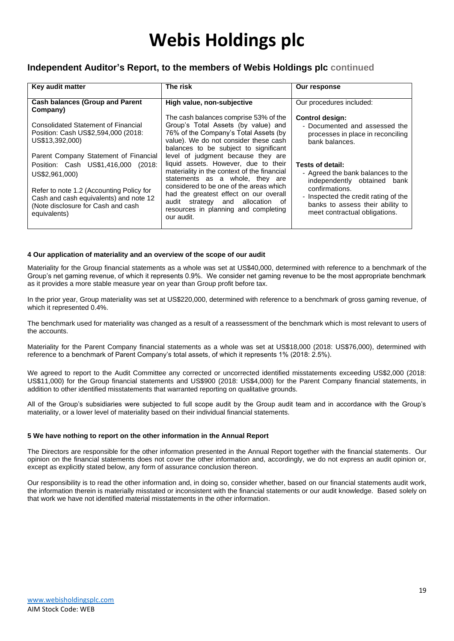### **Independent Auditor's Report, to the members of Webis Holdings plc continued**

| Key audit matter                                                                                                                           | The risk                                                                                                                                                                                                | Our response                                                                                                   |
|--------------------------------------------------------------------------------------------------------------------------------------------|---------------------------------------------------------------------------------------------------------------------------------------------------------------------------------------------------------|----------------------------------------------------------------------------------------------------------------|
| <b>Cash balances (Group and Parent</b><br>Company)                                                                                         | High value, non-subjective                                                                                                                                                                              | Our procedures included:                                                                                       |
| Consolidated Statement of Financial<br>Position: Cash US\$2,594,000 (2018:<br>US\$13,392,000)                                              | The cash balances comprise 53% of the<br>Group's Total Assets (by value) and<br>76% of the Company's Total Assets (by<br>value). We do not consider these cash<br>balances to be subject to significant | <b>Control design:</b><br>- Documented and assessed the<br>processes in place in reconciling<br>bank balances. |
| Parent Company Statement of Financial<br>Position: Cash US\$1,416,000 (2018:<br>US\$2,961,000)<br>Refer to note 1.2 (Accounting Policy for | level of judgment because they are<br>liquid assets. However, due to their<br>materiality in the context of the financial<br>statements as a whole, they are<br>considered to be one of the areas which | Tests of detail:<br>- Agreed the bank balances to the<br>independently obtained bank<br>confirmations.         |
| Cash and cash equivalents) and note 12<br>(Note disclosure for Cash and cash<br>equivalents)                                               | had the greatest effect on our overall<br>audit strategy and allocation of<br>resources in planning and completing<br>our audit.                                                                        | - Inspected the credit rating of the<br>banks to assess their ability to<br>meet contractual obligations.      |

#### **4 Our application of materiality and an overview of the scope of our audit**

Materiality for the Group financial statements as a whole was set at US\$40,000, determined with reference to a benchmark of the Group's net gaming revenue, of which it represents 0.9%. We consider net gaming revenue to be the most appropriate benchmark as it provides a more stable measure year on year than Group profit before tax.

In the prior year, Group materiality was set at US\$220,000, determined with reference to a benchmark of gross gaming revenue, of which it represented 0.4%.

The benchmark used for materiality was changed as a result of a reassessment of the benchmark which is most relevant to users of the accounts.

Materiality for the Parent Company financial statements as a whole was set at US\$18,000 (2018: US\$76,000), determined with reference to a benchmark of Parent Company's total assets, of which it represents 1% (2018: 2.5%).

We agreed to report to the Audit Committee any corrected or uncorrected identified misstatements exceeding US\$2,000 (2018: US\$11,000) for the Group financial statements and US\$900 (2018: US\$4,000) for the Parent Company financial statements, in addition to other identified misstatements that warranted reporting on qualitative grounds.

All of the Group's subsidiaries were subjected to full scope audit by the Group audit team and in accordance with the Group's materiality, or a lower level of materiality based on their individual financial statements.

#### **5 We have nothing to report on the other information in the Annual Report**

The Directors are responsible for the other information presented in the Annual Report together with the financial statements. Our opinion on the financial statements does not cover the other information and, accordingly, we do not express an audit opinion or, except as explicitly stated below, any form of assurance conclusion thereon.

Our responsibility is to read the other information and, in doing so, consider whether, based on our financial statements audit work, the information therein is materially misstated or inconsistent with the financial statements or our audit knowledge. Based solely on that work we have not identified material misstatements in the other information.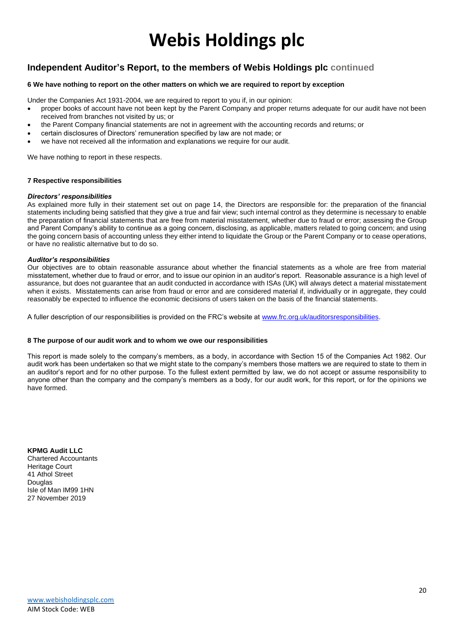### **Independent Auditor's Report, to the members of Webis Holdings plc continued**

#### **6 We have nothing to report on the other matters on which we are required to report by exception**

Under the Companies Act 1931-2004, we are required to report to you if, in our opinion:

- proper books of account have not been kept by the Parent Company and proper returns adequate for our audit have not been received from branches not visited by us; or
- the Parent Company financial statements are not in agreement with the accounting records and returns; or
- certain disclosures of Directors' remuneration specified by law are not made; or
- we have not received all the information and explanations we require for our audit.

We have nothing to report in these respects.

#### **7 Respective responsibilities**

#### *Directors' responsibilities*

As explained more fully in their statement set out on page 14, the Directors are responsible for: the preparation of the financial statements including being satisfied that they give a true and fair view; such internal control as they determine is necessary to enable the preparation of financial statements that are free from material misstatement, whether due to fraud or error; assessing the Group and Parent Company's ability to continue as a going concern, disclosing, as applicable, matters related to going concern; and using the going concern basis of accounting unless they either intend to liquidate the Group or the Parent Company or to cease operations, or have no realistic alternative but to do so.

#### *Auditor's responsibilities*

Our objectives are to obtain reasonable assurance about whether the financial statements as a whole are free from material misstatement, whether due to fraud or error, and to issue our opinion in an auditor's report. Reasonable assurance is a high level of assurance, but does not guarantee that an audit conducted in accordance with ISAs (UK) will always detect a material misstatement when it exists. Misstatements can arise from fraud or error and are considered material if, individually or in aggregate, they could reasonably be expected to influence the economic decisions of users taken on the basis of the financial statements.

A fuller description of our responsibilities is provided on the FRC's website at [www.frc.org.uk/auditorsresponsibilities.](http://www.frc.org.uk/auditorsresponsibilities)

#### **8 The purpose of our audit work and to whom we owe our responsibilities**

This report is made solely to the company's members, as a body, in accordance with Section 15 of the Companies Act 1982. Our audit work has been undertaken so that we might state to the company's members those matters we are required to state to them in an auditor's report and for no other purpose. To the fullest extent permitted by law, we do not accept or assume responsibility to anyone other than the company and the company's members as a body, for our audit work, for this report, or for the opinions we have formed.

**KPMG Audit LLC** Chartered Accountants Heritage Court 41 Athol Street Douglas Isle of Man IM99 1HN 27 November 2019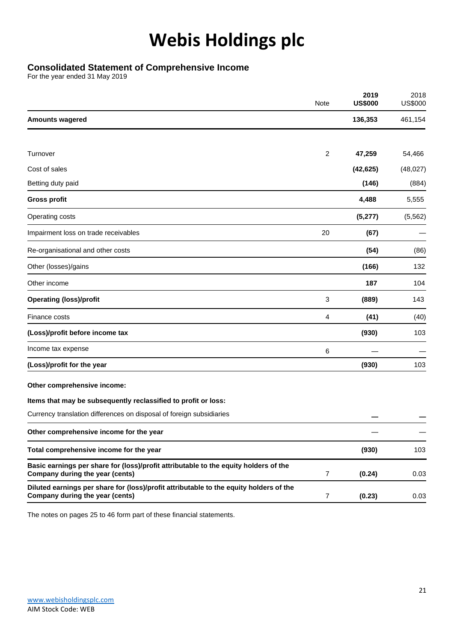### **Consolidated Statement of Comprehensive Income**

For the year ended 31 May 2019

|                                                                                                                           | Note           | 2019<br><b>US\$000</b> | 2018<br><b>US\$000</b> |
|---------------------------------------------------------------------------------------------------------------------------|----------------|------------------------|------------------------|
| <b>Amounts wagered</b>                                                                                                    |                | 136,353                | 461,154                |
|                                                                                                                           |                |                        |                        |
| Turnover                                                                                                                  | 2              | 47,259                 | 54,466                 |
| Cost of sales                                                                                                             |                | (42, 625)              | (48, 027)              |
| Betting duty paid                                                                                                         |                | (146)                  | (884)                  |
| <b>Gross profit</b>                                                                                                       |                | 4,488                  | 5,555                  |
| Operating costs                                                                                                           |                | (5, 277)               | (5, 562)               |
| Impairment loss on trade receivables                                                                                      | 20             | (67)                   |                        |
| Re-organisational and other costs                                                                                         |                | (54)                   | (86)                   |
| Other (losses)/gains                                                                                                      |                | (166)                  | 132                    |
| Other income                                                                                                              |                | 187                    | 104                    |
| <b>Operating (loss)/profit</b>                                                                                            | 3              | (889)                  | 143                    |
| Finance costs                                                                                                             | 4              | (41)                   | (40)                   |
| (Loss)/profit before income tax                                                                                           |                | (930)                  | 103                    |
| Income tax expense                                                                                                        | 6              |                        |                        |
| (Loss)/profit for the year                                                                                                |                | (930)                  | 103                    |
| Other comprehensive income:                                                                                               |                |                        |                        |
| Items that may be subsequently reclassified to profit or loss:                                                            |                |                        |                        |
| Currency translation differences on disposal of foreign subsidiaries                                                      |                |                        |                        |
| Other comprehensive income for the year                                                                                   |                |                        |                        |
| Total comprehensive income for the year                                                                                   |                | (930)                  | 103                    |
| Basic earnings per share for (loss)/profit attributable to the equity holders of the<br>Company during the year (cents)   | $\overline{7}$ | (0.24)                 | 0.03                   |
| Diluted earnings per share for (loss)/profit attributable to the equity holders of the<br>Company during the year (cents) | 7              | (0.23)                 | 0.03                   |
|                                                                                                                           |                |                        |                        |

The notes on pages 25 to 46 form part of these financial statements.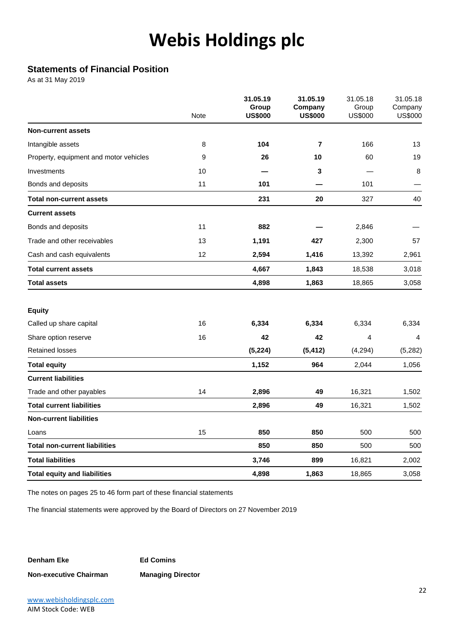### **Statements of Financial Position**

As at 31 May 2019

|                                        | Note | 31.05.19<br>Group<br><b>US\$000</b> | 31.05.19<br>Company<br><b>US\$000</b> | 31.05.18<br>Group<br><b>US\$000</b> | 31.05.18<br>Company<br><b>US\$000</b> |
|----------------------------------------|------|-------------------------------------|---------------------------------------|-------------------------------------|---------------------------------------|
| <b>Non-current assets</b>              |      |                                     |                                       |                                     |                                       |
| Intangible assets                      | 8    | 104                                 | $\overline{7}$                        | 166                                 | 13                                    |
| Property, equipment and motor vehicles | 9    | 26                                  | 10                                    | 60                                  | 19                                    |
| Investments                            | 10   |                                     | $\mathbf 3$                           |                                     | 8                                     |
| Bonds and deposits                     | 11   | 101                                 |                                       | 101                                 |                                       |
| <b>Total non-current assets</b>        |      | 231                                 | 20                                    | 327                                 | 40                                    |
| <b>Current assets</b>                  |      |                                     |                                       |                                     |                                       |
| Bonds and deposits                     | 11   | 882                                 |                                       | 2,846                               |                                       |
| Trade and other receivables            | 13   | 1,191                               | 427                                   | 2,300                               | 57                                    |
| Cash and cash equivalents              | 12   | 2,594                               | 1,416                                 | 13,392                              | 2,961                                 |
| <b>Total current assets</b>            |      | 4,667                               | 1,843                                 | 18,538                              | 3,018                                 |
| <b>Total assets</b>                    |      | 4,898                               | 1,863                                 | 18,865                              | 3,058                                 |
| <b>Equity</b>                          |      |                                     |                                       |                                     |                                       |
| Called up share capital                | 16   | 6,334                               | 6,334                                 | 6,334                               | 6,334                                 |
| Share option reserve                   | 16   | 42                                  | 42                                    | 4                                   | $\overline{4}$                        |
| <b>Retained losses</b>                 |      | (5, 224)                            | (5, 412)                              | (4,294)                             | (5,282)                               |
| <b>Total equity</b>                    |      | 1,152                               | 964                                   | 2,044                               | 1,056                                 |
| <b>Current liabilities</b>             |      |                                     |                                       |                                     |                                       |
| Trade and other payables               | 14   | 2,896                               | 49                                    | 16,321                              | 1,502                                 |
| <b>Total current liabilities</b>       |      | 2,896                               | 49                                    | 16,321                              | 1,502                                 |
| <b>Non-current liabilities</b>         |      |                                     |                                       |                                     |                                       |
| Loans                                  | 15   | 850                                 | 850                                   | 500                                 | 500                                   |
| <b>Total non-current liabilities</b>   |      | 850                                 | 850                                   | 500                                 | 500                                   |
| <b>Total liabilities</b>               |      | 3,746                               | 899                                   | 16,821                              | 2,002                                 |
| <b>Total equity and liabilities</b>    |      | 4,898                               | 1,863                                 | 18,865                              | 3,058                                 |

The notes on pages 25 to 46 form part of these financial statements

The financial statements were approved by the Board of Directors on 27 November 2019

**Denham Eke Ed Comins Non-executive Chairman Managing Director**

[www.webisholdingsplc.com](http://www.webisholdingsplc.com/) AIM Stock Code: WEB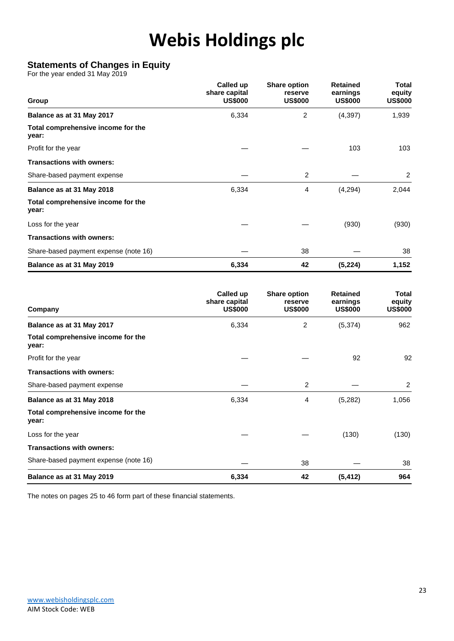### **Statements of Changes in Equity**

For the year ended 31 May 2019

| Group                                       | Called up<br>share capital<br><b>US\$000</b> | <b>Share option</b><br>reserve<br><b>US\$000</b> | <b>Retained</b><br>earnings<br><b>US\$000</b> | <b>Total</b><br>equity<br><b>US\$000</b> |
|---------------------------------------------|----------------------------------------------|--------------------------------------------------|-----------------------------------------------|------------------------------------------|
| Balance as at 31 May 2017                   | 6,334                                        | 2                                                | (4, 397)                                      | 1,939                                    |
| Total comprehensive income for the<br>year: |                                              |                                                  |                                               |                                          |
| Profit for the year                         |                                              |                                                  | 103                                           | 103                                      |
| <b>Transactions with owners:</b>            |                                              |                                                  |                                               |                                          |
| Share-based payment expense                 |                                              | 2                                                |                                               | 2                                        |
| Balance as at 31 May 2018                   | 6,334                                        | 4                                                | (4,294)                                       | 2,044                                    |
| Total comprehensive income for the<br>year: |                                              |                                                  |                                               |                                          |
| Loss for the year                           |                                              |                                                  | (930)                                         | (930)                                    |
| <b>Transactions with owners:</b>            |                                              |                                                  |                                               |                                          |
| Share-based payment expense (note 16)       |                                              | 38                                               |                                               | 38                                       |
| Balance as at 31 May 2019                   | 6,334                                        | 42                                               | (5, 224)                                      | 1,152                                    |

| Company                                     | Called up<br>share capital<br><b>US\$000</b> | <b>Share option</b><br>reserve<br><b>US\$000</b> | <b>Retained</b><br>earnings<br><b>US\$000</b> | Total<br>equity<br><b>US\$000</b> |
|---------------------------------------------|----------------------------------------------|--------------------------------------------------|-----------------------------------------------|-----------------------------------|
| Balance as at 31 May 2017                   | 6,334                                        | 2                                                | (5, 374)                                      | 962                               |
| Total comprehensive income for the<br>year: |                                              |                                                  |                                               |                                   |
| Profit for the year                         |                                              |                                                  | 92                                            | 92                                |
| <b>Transactions with owners:</b>            |                                              |                                                  |                                               |                                   |
| Share-based payment expense                 |                                              | 2                                                |                                               | 2                                 |
| Balance as at 31 May 2018                   | 6,334                                        | 4                                                | (5,282)                                       | 1,056                             |
| Total comprehensive income for the<br>year: |                                              |                                                  |                                               |                                   |
| Loss for the year                           |                                              |                                                  | (130)                                         | (130)                             |
| <b>Transactions with owners:</b>            |                                              |                                                  |                                               |                                   |
| Share-based payment expense (note 16)       |                                              | 38                                               |                                               | 38                                |
| Balance as at 31 May 2019                   | 6,334                                        | 42                                               | (5, 412)                                      | 964                               |

The notes on pages 25 to 46 form part of these financial statements.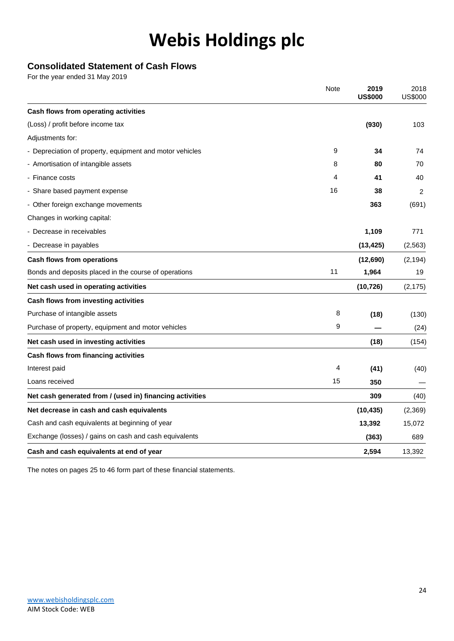### **Consolidated Statement of Cash Flows**

For the year ended 31 May 2019

|                                                          | <b>Note</b> | 2019<br><b>US\$000</b> | 2018<br><b>US\$000</b> |
|----------------------------------------------------------|-------------|------------------------|------------------------|
| Cash flows from operating activities                     |             |                        |                        |
| (Loss) / profit before income tax                        |             | (930)                  | 103                    |
| Adjustments for:                                         |             |                        |                        |
| - Depreciation of property, equipment and motor vehicles | 9           | 34                     | 74                     |
| - Amortisation of intangible assets                      | 8           | 80                     | 70                     |
| - Finance costs                                          | 4           | 41                     | 40                     |
| - Share based payment expense                            | 16          | 38                     | 2                      |
| - Other foreign exchange movements                       |             | 363                    | (691)                  |
| Changes in working capital:                              |             |                        |                        |
| - Decrease in receivables                                |             | 1,109                  | 771                    |
| - Decrease in payables                                   |             | (13, 425)              | (2, 563)               |
| <b>Cash flows from operations</b>                        |             | (12,690)               | (2, 194)               |
| Bonds and deposits placed in the course of operations    | 11          | 1,964                  | 19                     |
| Net cash used in operating activities                    |             | (10, 726)              | (2, 175)               |
| Cash flows from investing activities                     |             |                        |                        |
| Purchase of intangible assets                            | 8           | (18)                   | (130)                  |
| Purchase of property, equipment and motor vehicles       | 9           |                        | (24)                   |
| Net cash used in investing activities                    |             | (18)                   | (154)                  |
| Cash flows from financing activities                     |             |                        |                        |
| Interest paid                                            | 4           | (41)                   | (40)                   |
| Loans received                                           | 15          | 350                    |                        |
| Net cash generated from / (used in) financing activities |             | 309                    | (40)                   |
| Net decrease in cash and cash equivalents                |             | (10, 435)              | (2,369)                |
| Cash and cash equivalents at beginning of year           |             | 13,392                 | 15,072                 |
| Exchange (losses) / gains on cash and cash equivalents   |             | (363)                  | 689                    |
| Cash and cash equivalents at end of year                 |             | 2,594                  | 13,392                 |

The notes on pages 25 to 46 form part of these financial statements.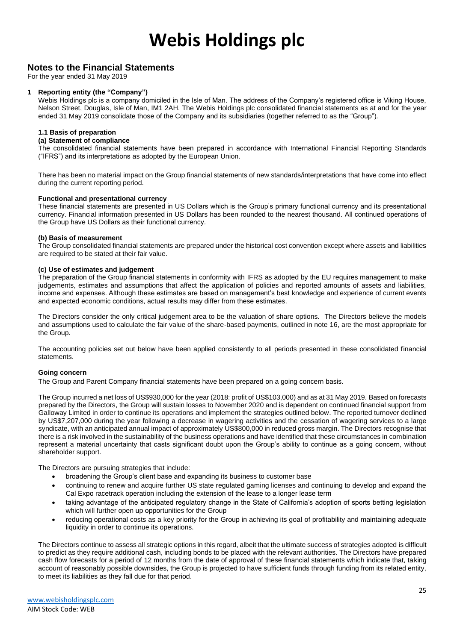#### **Notes to the Financial Statements**

For the year ended 31 May 2019

#### **1 Reporting entity (the "Company")**

Webis Holdings plc is a company domiciled in the Isle of Man. The address of the Company's registered office is Viking House, Nelson Street, Douglas, Isle of Man, IM1 2AH. The Webis Holdings plc consolidated financial statements as at and for the year ended 31 May 2019 consolidate those of the Company and its subsidiaries (together referred to as the "Group").

#### **1.1 Basis of preparation**

#### **(a) Statement of compliance**

The consolidated financial statements have been prepared in accordance with International Financial Reporting Standards ("IFRS") and its interpretations as adopted by the European Union.

There has been no material impact on the Group financial statements of new standards/interpretations that have come into effect during the current reporting period.

#### **Functional and presentational currency**

These financial statements are presented in US Dollars which is the Group's primary functional currency and its presentational currency. Financial information presented in US Dollars has been rounded to the nearest thousand. All continued operations of the Group have US Dollars as their functional currency.

#### **(b) Basis of measurement**

The Group consolidated financial statements are prepared under the historical cost convention except where assets and liabilities are required to be stated at their fair value.

#### **(c) Use of estimates and judgement**

The preparation of the Group financial statements in conformity with IFRS as adopted by the EU requires management to make judgements, estimates and assumptions that affect the application of policies and reported amounts of assets and liabilities, income and expenses. Although these estimates are based on management's best knowledge and experience of current events and expected economic conditions, actual results may differ from these estimates.

The Directors consider the only critical judgement area to be the valuation of share options. The Directors believe the models and assumptions used to calculate the fair value of the share-based payments, outlined in note 16, are the most appropriate for the Group.

The accounting policies set out below have been applied consistently to all periods presented in these consolidated financial statements.

#### **Going concern**

The Group and Parent Company financial statements have been prepared on a going concern basis.

The Group incurred a net loss of US\$930,000 for the year (2018: profit of US\$103,000) and as at 31 May 2019. Based on forecasts prepared by the Directors, the Group will sustain losses to November 2020 and is dependent on continued financial support from Galloway Limited in order to continue its operations and implement the strategies outlined below. The reported turnover declined by US\$7,207,000 during the year following a decrease in wagering activities and the cessation of wagering services to a large syndicate, with an anticipated annual impact of approximately US\$800,000 in reduced gross margin. The Directors recognise that there is a risk involved in the sustainability of the business operations and have identified that these circumstances in combination represent a material uncertainty that casts significant doubt upon the Group's ability to continue as a going concern, without shareholder support.

The Directors are pursuing strategies that include:

- broadening the Group's client base and expanding its business to customer base
- continuing to renew and acquire further US state regulated gaming licenses and continuing to develop and expand the Cal Expo racetrack operation including the extension of the lease to a longer lease term
- taking advantage of the anticipated regulatory change in the State of California's adoption of sports betting legislation which will further open up opportunities for the Group
- reducing operational costs as a key priority for the Group in achieving its goal of profitability and maintaining adequate liquidity in order to continue its operations.

The Directors continue to assess all strategic options in this regard, albeit that the ultimate success of strategies adopted is difficult to predict as they require additional cash, including bonds to be placed with the relevant authorities. The Directors have prepared cash flow forecasts for a period of 12 months from the date of approval of these financial statements which indicate that, taking account of reasonably possible downsides, the Group is projected to have sufficient funds through funding from its related entity, to meet its liabilities as they fall due for that period.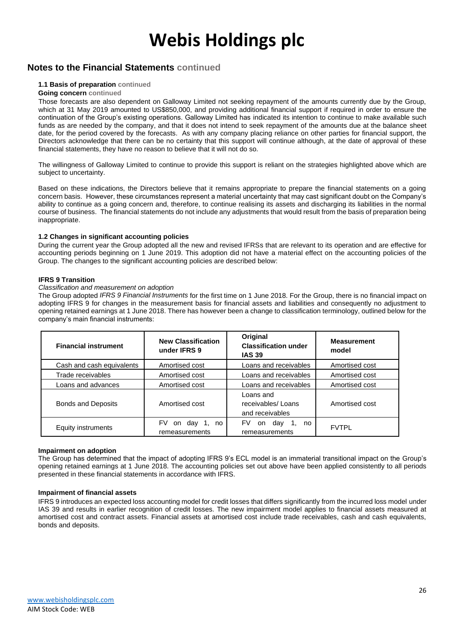### **Notes to the Financial Statements continued**

#### **1.1 Basis of preparation continued**

#### **Going concern continued**

Those forecasts are also dependent on Galloway Limited not seeking repayment of the amounts currently due by the Group, which at 31 May 2019 amounted to US\$850,000, and providing additional financial support if required in order to ensure the continuation of the Group's existing operations. Galloway Limited has indicated its intention to continue to make available such funds as are needed by the company, and that it does not intend to seek repayment of the amounts due at the balance sheet date, for the period covered by the forecasts. As with any company placing reliance on other parties for financial support, the Directors acknowledge that there can be no certainty that this support will continue although, at the date of approval of these financial statements, they have no reason to believe that it will not do so.

The willingness of Galloway Limited to continue to provide this support is reliant on the strategies highlighted above which are subject to uncertainty.

Based on these indications, the Directors believe that it remains appropriate to prepare the financial statements on a going concern basis. However, these circumstances represent a material uncertainty that may cast significant doubt on the Company's ability to continue as a going concern and, therefore, to continue realising its assets and discharging its liabilities in the normal course of business. The financial statements do not include any adjustments that would result from the basis of preparation being inappropriate.

#### **1.2 Changes in significant accounting policies**

During the current year the Group adopted all the new and revised IFRSs that are relevant to its operation and are effective for accounting periods beginning on 1 June 2019. This adoption did not have a material effect on the accounting policies of the Group. The changes to the significant accounting policies are described below:

#### **IFRS 9 Transition**

#### *Classification and measurement on adoption*

The Group adopted *IFRS 9 Financial Instruments* for the first time on 1 June 2018. For the Group, there is no financial impact on adopting IFRS 9 for changes in the measurement basis for financial assets and liabilities and consequently no adjustment to opening retained earnings at 1 June 2018. There has however been a change to classification terminology, outlined below for the company's main financial instruments:

| <b>Financial instrument</b> | <b>New Classification</b><br>under IFRS 9 | Original<br><b>Classification under</b><br><b>IAS 39</b> | <b>Measurement</b><br>model |
|-----------------------------|-------------------------------------------|----------------------------------------------------------|-----------------------------|
| Cash and cash equivalents   | Amortised cost                            | Loans and receivables                                    | Amortised cost              |
| Trade receivables           | Amortised cost                            | Loans and receivables                                    | Amortised cost              |
| Loans and advances          | Amortised cost                            | Loans and receivables                                    | Amortised cost              |
| <b>Bonds and Deposits</b>   | Amortised cost                            | Loans and<br>receivables/Loans<br>and receivables        | Amortised cost              |
| Equity instruments          | FV<br>on day 1,<br>no<br>remeasurements   | FV.<br>day<br>on.<br>no<br>remeasurements                | <b>FVTPL</b>                |

#### **Impairment on adoption**

The Group has determined that the impact of adopting IFRS 9's ECL model is an immaterial transitional impact on the Group's opening retained earnings at 1 June 2018. The accounting policies set out above have been applied consistently to all periods presented in these financial statements in accordance with IFRS.

#### **Impairment of financial assets**

IFRS 9 introduces an expected loss accounting model for credit losses that differs significantly from the incurred loss model under IAS 39 and results in earlier recognition of credit losses. The new impairment model applies to financial assets measured at amortised cost and contract assets. Financial assets at amortised cost include trade receivables, cash and cash equivalents, bonds and deposits.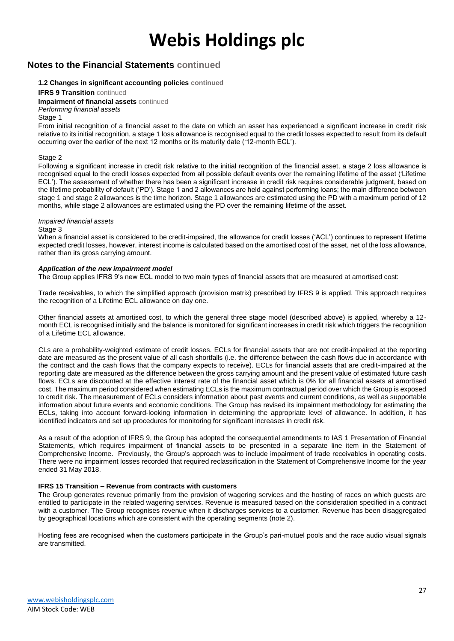### **Notes to the Financial Statements continued**

#### **1.2 Changes in significant accounting policies continued**

#### **IFRS 9 Transition** continued

**Impairment of financial assets** continued

#### *Performing financial assets*

#### Stage 1

From initial recognition of a financial asset to the date on which an asset has experienced a significant increase in credit risk relative to its initial recognition, a stage 1 loss allowance is recognised equal to the credit losses expected to result from its default occurring over the earlier of the next 12 months or its maturity date ('12-month ECL').

#### Stage 2

Following a significant increase in credit risk relative to the initial recognition of the financial asset, a stage 2 loss allowance is recognised equal to the credit losses expected from all possible default events over the remaining lifetime of the asset ('Lifetime ECL'). The assessment of whether there has been a significant increase in credit risk requires considerable judgment, based on the lifetime probability of default ('PD'). Stage 1 and 2 allowances are held against performing loans; the main difference between stage 1 and stage 2 allowances is the time horizon. Stage 1 allowances are estimated using the PD with a maximum period of 12 months, while stage 2 allowances are estimated using the PD over the remaining lifetime of the asset.

#### *Impaired financial assets*

#### Stage 3

When a financial asset is considered to be credit-impaired, the allowance for credit losses ('ACL') continues to represent lifetime expected credit losses, however, interest income is calculated based on the amortised cost of the asset, net of the loss allowance, rather than its gross carrying amount.

#### *Application of the new impairment model*

The Group applies IFRS 9's new ECL model to two main types of financial assets that are measured at amortised cost:

Trade receivables, to which the simplified approach (provision matrix) prescribed by IFRS 9 is applied. This approach requires the recognition of a Lifetime ECL allowance on day one.

Other financial assets at amortised cost, to which the general three stage model (described above) is applied, whereby a 12 month ECL is recognised initially and the balance is monitored for significant increases in credit risk which triggers the recognition of a Lifetime ECL allowance.

CLs are a probability-weighted estimate of credit losses. ECLs for financial assets that are not credit-impaired at the reporting date are measured as the present value of all cash shortfalls (i.e. the difference between the cash flows due in accordance with the contract and the cash flows that the company expects to receive). ECLs for financial assets that are credit-impaired at the reporting date are measured as the difference between the gross carrying amount and the present value of estimated future cash flows. ECLs are discounted at the effective interest rate of the financial asset which is 0% for all financial assets at amortised cost. The maximum period considered when estimating ECLs is the maximum contractual period over which the Group is exposed to credit risk. The measurement of ECLs considers information about past events and current conditions, as well as supportable information about future events and economic conditions. The Group has revised its impairment methodology for estimating the ECLs, taking into account forward-looking information in determining the appropriate level of allowance. In addition, it has identified indicators and set up procedures for monitoring for significant increases in credit risk.

As a result of the adoption of IFRS 9, the Group has adopted the consequential amendments to IAS 1 Presentation of Financial Statements, which requires impairment of financial assets to be presented in a separate line item in the Statement of Comprehensive Income. Previously, the Group's approach was to include impairment of trade receivables in operating costs. There were no impairment losses recorded that required reclassification in the Statement of Comprehensive Income for the year ended 31 May 2018.

#### **IFRS 15 Transition – Revenue from contracts with customers**

The Group generates revenue primarily from the provision of wagering services and the hosting of races on which guests are entitled to participate in the related wagering services. Revenue is measured based on the consideration specified in a contract with a customer. The Group recognises revenue when it discharges services to a customer. Revenue has been disaggregated by geographical locations which are consistent with the operating segments (note 2).

Hosting fees are recognised when the customers participate in the Group's pari-mutuel pools and the race audio visual signals are transmitted.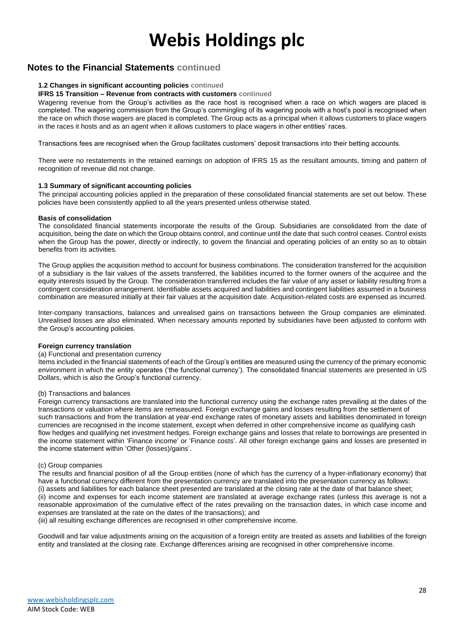### **Notes to the Financial Statements continued**

#### **1.2 Changes in significant accounting policies continued**

#### **IFRS 15 Transition – Revenue from contracts with customers continued**

Wagering revenue from the Group's activities as the race host is recognised when a race on which wagers are placed is completed. The wagering commission from the Group's commingling of its wagering pools with a host's pool is recognised when the race on which those wagers are placed is completed. The Group acts as a principal when it allows customers to place wagers in the races it hosts and as an agent when it allows customers to place wagers in other entities' races.

Transactions fees are recognised when the Group facilitates customers' deposit transactions into their betting accounts.

There were no restatements in the retained earnings on adoption of IFRS 15 as the resultant amounts, timing and pattern of recognition of revenue did not change.

#### **1.3 Summary of significant accounting policies**

The principal accounting policies applied in the preparation of these consolidated financial statements are set out below. These policies have been consistently applied to all the years presented unless otherwise stated.

#### **Basis of consolidation**

The consolidated financial statements incorporate the results of the Group. Subsidiaries are consolidated from the date of acquisition, being the date on which the Group obtains control, and continue until the date that such control ceases. Control exists when the Group has the power, directly or indirectly, to govern the financial and operating policies of an entity so as to obtain benefits from its activities.

The Group applies the acquisition method to account for business combinations. The consideration transferred for the acquisition of a subsidiary is the fair values of the assets transferred, the liabilities incurred to the former owners of the acquiree and the equity interests issued by the Group. The consideration transferred includes the fair value of any asset or liability resulting from a contingent consideration arrangement. Identifiable assets acquired and liabilities and contingent liabilities assumed in a business combination are measured initially at their fair values at the acquisition date. Acquisition-related costs are expensed as incurred.

Inter-company transactions, balances and unrealised gains on transactions between the Group companies are eliminated. Unrealised losses are also eliminated. When necessary amounts reported by subsidiaries have been adjusted to conform with the Group's accounting policies.

#### **Foreign currency translation**

#### (a) Functional and presentation currency

Items included in the financial statements of each of the Group's entities are measured using the currency of the primary economic environment in which the entity operates ('the functional currency'). The consolidated financial statements are presented in US Dollars, which is also the Group's functional currency.

#### (b) Transactions and balances

Foreign currency transactions are translated into the functional currency using the exchange rates prevailing at the dates of the transactions or valuation where items are remeasured. Foreign exchange gains and losses resulting from the settlement of such transactions and from the translation at year-end exchange rates of monetary assets and liabilities denominated in foreign currencies are recognised in the income statement, except when deferred in other comprehensive income as qualifying cash flow hedges and qualifying net investment hedges. Foreign exchange gains and losses that relate to borrowings are presented in the income statement within 'Finance income' or 'Finance costs'. All other foreign exchange gains and losses are presented in the income statement within 'Other (losses)/gains'.

#### (c) Group companies

The results and financial position of all the Group entities (none of which has the currency of a hyper-inflationary economy) that have a functional currency different from the presentation currency are translated into the presentation currency as follows: (i) assets and liabilities for each balance sheet presented are translated at the closing rate at the date of that balance sheet; (ii) income and expenses for each income statement are translated at average exchange rates (unless this average is not a reasonable approximation of the cumulative effect of the rates prevailing on the transaction dates, in which case income and expenses are translated at the rate on the dates of the transactions); and

(iii) all resulting exchange differences are recognised in other comprehensive income.

Goodwill and fair value adjustments arising on the acquisition of a foreign entity are treated as assets and liabilities of the foreign entity and translated at the closing rate. Exchange differences arising are recognised in other comprehensive income.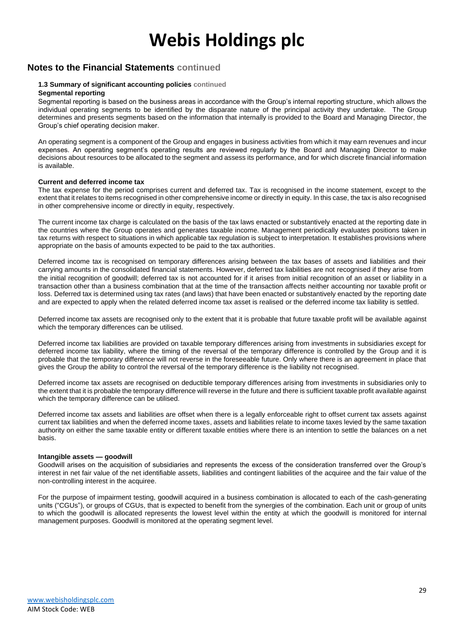### **Notes to the Financial Statements continued**

#### **1.3 Summary of significant accounting policies continued Segmental reporting**

Segmental reporting is based on the business areas in accordance with the Group's internal reporting structure, which allows the individual operating segments to be identified by the disparate nature of the principal activity they undertake. The Group determines and presents segments based on the information that internally is provided to the Board and Managing Director, the Group's chief operating decision maker.

An operating segment is a component of the Group and engages in business activities from which it may earn revenues and incur expenses. An operating segment's operating results are reviewed regularly by the Board and Managing Director to make decisions about resources to be allocated to the segment and assess its performance, and for which discrete financial information is available.

#### **Current and deferred income tax**

The tax expense for the period comprises current and deferred tax. Tax is recognised in the income statement, except to the extent that it relates to items recognised in other comprehensive income or directly in equity. In this case, the tax is also recognised in other comprehensive income or directly in equity, respectively.

The current income tax charge is calculated on the basis of the tax laws enacted or substantively enacted at the reporting date in the countries where the Group operates and generates taxable income. Management periodically evaluates positions taken in tax returns with respect to situations in which applicable tax regulation is subject to interpretation. It establishes provisions where appropriate on the basis of amounts expected to be paid to the tax authorities.

Deferred income tax is recognised on temporary differences arising between the tax bases of assets and liabilities and their carrying amounts in the consolidated financial statements. However, deferred tax liabilities are not recognised if they arise from the initial recognition of goodwill; deferred tax is not accounted for if it arises from initial recognition of an asset or liability in a transaction other than a business combination that at the time of the transaction affects neither accounting nor taxable profit or loss. Deferred tax is determined using tax rates (and laws) that have been enacted or substantively enacted by the reporting date and are expected to apply when the related deferred income tax asset is realised or the deferred income tax liability is settled.

Deferred income tax assets are recognised only to the extent that it is probable that future taxable profit will be available against which the temporary differences can be utilised.

Deferred income tax liabilities are provided on taxable temporary differences arising from investments in subsidiaries except for deferred income tax liability, where the timing of the reversal of the temporary difference is controlled by the Group and it is probable that the temporary difference will not reverse in the foreseeable future. Only where there is an agreement in place that gives the Group the ability to control the reversal of the temporary difference is the liability not recognised.

Deferred income tax assets are recognised on deductible temporary differences arising from investments in subsidiaries only to the extent that it is probable the temporary difference will reverse in the future and there is sufficient taxable profit available against which the temporary difference can be utilised.

Deferred income tax assets and liabilities are offset when there is a legally enforceable right to offset current tax assets against current tax liabilities and when the deferred income taxes, assets and liabilities relate to income taxes levied by the same taxation authority on either the same taxable entity or different taxable entities where there is an intention to settle the balances on a net basis.

#### **Intangible assets — goodwill**

Goodwill arises on the acquisition of subsidiaries and represents the excess of the consideration transferred over the Group's interest in net fair value of the net identifiable assets, liabilities and contingent liabilities of the acquiree and the fair value of the non-controlling interest in the acquiree.

For the purpose of impairment testing, goodwill acquired in a business combination is allocated to each of the cash-generating units ("CGUs"), or groups of CGUs, that is expected to benefit from the synergies of the combination. Each unit or group of units to which the goodwill is allocated represents the lowest level within the entity at which the goodwill is monitored for internal management purposes. Goodwill is monitored at the operating segment level.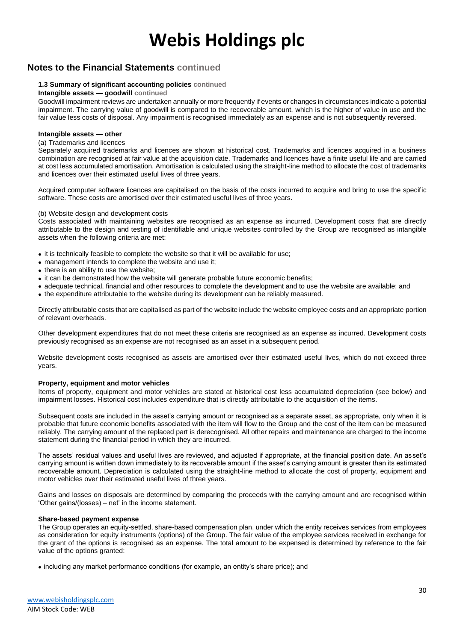### **Notes to the Financial Statements continued**

#### **1.3 Summary of significant accounting policies continued**

#### **Intangible assets — goodwill continued**

Goodwill impairment reviews are undertaken annually or more frequently if events or changes in circumstances indicate a potential impairment. The carrying value of goodwill is compared to the recoverable amount, which is the higher of value in use and the fair value less costs of disposal. Any impairment is recognised immediately as an expense and is not subsequently reversed.

#### **Intangible assets — other**

#### (a) Trademarks and licences

Separately acquired trademarks and licences are shown at historical cost. Trademarks and licences acquired in a business combination are recognised at fair value at the acquisition date. Trademarks and licences have a finite useful life and are carried at cost less accumulated amortisation. Amortisation is calculated using the straight-line method to allocate the cost of trademarks and licences over their estimated useful lives of three years.

Acquired computer software licences are capitalised on the basis of the costs incurred to acquire and bring to use the specific software. These costs are amortised over their estimated useful lives of three years.

#### (b) Website design and development costs

Costs associated with maintaining websites are recognised as an expense as incurred. Development costs that are directly attributable to the design and testing of identifiable and unique websites controlled by the Group are recognised as intangible assets when the following criteria are met:

- it is technically feasible to complete the website so that it will be available for use;
- management intends to complete the website and use it;
- there is an ability to use the website;
- it can be demonstrated how the website will generate probable future economic benefits;
- adequate technical, financial and other resources to complete the development and to use the website are available; and
- the expenditure attributable to the website during its development can be reliably measured.

Directly attributable costs that are capitalised as part of the website include the website employee costs and an appropriate portion of relevant overheads.

Other development expenditures that do not meet these criteria are recognised as an expense as incurred. Development costs previously recognised as an expense are not recognised as an asset in a subsequent period.

Website development costs recognised as assets are amortised over their estimated useful lives, which do not exceed three years.

#### **Property, equipment and motor vehicles**

Items of property, equipment and motor vehicles are stated at historical cost less accumulated depreciation (see below) and impairment losses. Historical cost includes expenditure that is directly attributable to the acquisition of the items.

Subsequent costs are included in the asset's carrying amount or recognised as a separate asset, as appropriate, only when it is probable that future economic benefits associated with the item will flow to the Group and the cost of the item can be measured reliably. The carrying amount of the replaced part is derecognised. All other repairs and maintenance are charged to the income statement during the financial period in which they are incurred.

The assets' residual values and useful lives are reviewed, and adjusted if appropriate, at the financial position date. An asset's carrying amount is written down immediately to its recoverable amount if the asset's carrying amount is greater than its estimated recoverable amount. Depreciation is calculated using the straight-line method to allocate the cost of property, equipment and motor vehicles over their estimated useful lives of three years.

Gains and losses on disposals are determined by comparing the proceeds with the carrying amount and are recognised within 'Other gains/(losses) – net' in the income statement.

#### **Share-based payment expense**

The Group operates an equity-settled, share-based compensation plan, under which the entity receives services from employees as consideration for equity instruments (options) of the Group. The fair value of the employee services received in exchange for the grant of the options is recognised as an expense. The total amount to be expensed is determined by reference to the fair value of the options granted:

• including any market performance conditions (for example, an entity's share price); and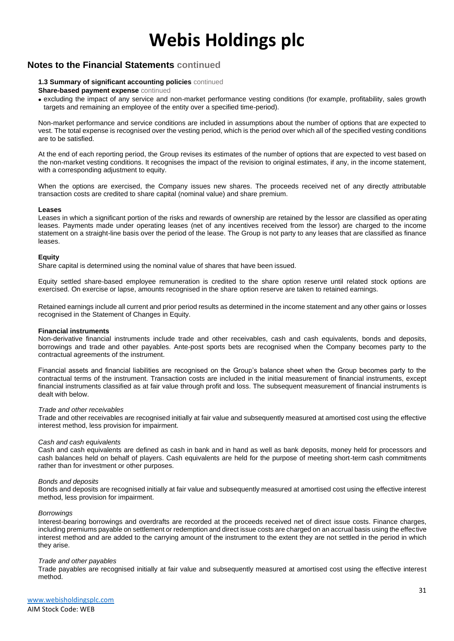### **Notes to the Financial Statements continued**

#### **1.3 Summary of significant accounting policies** continued

#### **Share-based payment expense** continued

• excluding the impact of any service and non-market performance vesting conditions (for example, profitability, sales growth targets and remaining an employee of the entity over a specified time-period).

Non-market performance and service conditions are included in assumptions about the number of options that are expected to vest. The total expense is recognised over the vesting period, which is the period over which all of the specified vesting conditions are to be satisfied.

At the end of each reporting period, the Group revises its estimates of the number of options that are expected to vest based on the non-market vesting conditions. It recognises the impact of the revision to original estimates, if any, in the income statement, with a corresponding adjustment to equity.

When the options are exercised, the Company issues new shares. The proceeds received net of any directly attributable transaction costs are credited to share capital (nominal value) and share premium.

#### **Leases**

Leases in which a significant portion of the risks and rewards of ownership are retained by the lessor are classified as operating leases. Payments made under operating leases (net of any incentives received from the lessor) are charged to the income statement on a straight-line basis over the period of the lease. The Group is not party to any leases that are classified as finance leases.

#### **Equity**

Share capital is determined using the nominal value of shares that have been issued.

Equity settled share-based employee remuneration is credited to the share option reserve until related stock options are exercised. On exercise or lapse, amounts recognised in the share option reserve are taken to retained earnings.

Retained earnings include all current and prior period results as determined in the income statement and any other gains or losses recognised in the Statement of Changes in Equity.

#### **Financial instruments**

Non-derivative financial instruments include trade and other receivables, cash and cash equivalents, bonds and deposits, borrowings and trade and other payables. Ante-post sports bets are recognised when the Company becomes party to the contractual agreements of the instrument.

Financial assets and financial liabilities are recognised on the Group's balance sheet when the Group becomes party to the contractual terms of the instrument. Transaction costs are included in the initial measurement of financial instruments, except financial instruments classified as at fair value through profit and loss. The subsequent measurement of financial instruments is dealt with below.

#### *Trade and other receivables*

Trade and other receivables are recognised initially at fair value and subsequently measured at amortised cost using the effective interest method, less provision for impairment.

#### *Cash and cash equivalents*

Cash and cash equivalents are defined as cash in bank and in hand as well as bank deposits, money held for processors and cash balances held on behalf of players. Cash equivalents are held for the purpose of meeting short-term cash commitments rather than for investment or other purposes.

#### *Bonds and deposits*

Bonds and deposits are recognised initially at fair value and subsequently measured at amortised cost using the effective interest method, less provision for impairment.

#### *Borrowings*

Interest-bearing borrowings and overdrafts are recorded at the proceeds received net of direct issue costs. Finance charges, including premiums payable on settlement or redemption and direct issue costs are charged on an accrual basis using the effective interest method and are added to the carrying amount of the instrument to the extent they are not settled in the period in which they arise.

#### *Trade and other payables*

Trade payables are recognised initially at fair value and subsequently measured at amortised cost using the effective interest method.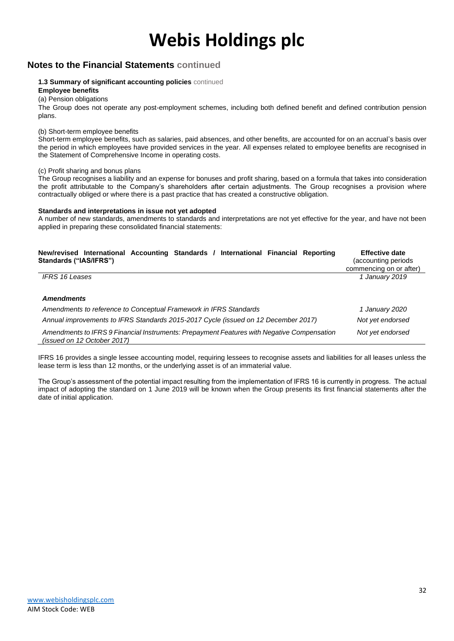### **Notes to the Financial Statements continued**

#### **1.3 Summary of significant accounting policies** continued

**Employee benefits**

### (a) Pension obligations

The Group does not operate any post-employment schemes, including both defined benefit and defined contribution pension plans.

#### (b) Short-term employee benefits

Short-term employee benefits, such as salaries, paid absences, and other benefits, are accounted for on an accrual's basis over the period in which employees have provided services in the year. All expenses related to employee benefits are recognised in the Statement of Comprehensive Income in operating costs.

#### (c) Profit sharing and bonus plans

The Group recognises a liability and an expense for bonuses and profit sharing, based on a formula that takes into consideration the profit attributable to the Company's shareholders after certain adjustments. The Group recognises a provision where contractually obliged or where there is a past practice that has created a constructive obligation.

#### **Standards and interpretations in issue not yet adopted**

A number of new standards, amendments to standards and interpretations are not yet effective for the year, and have not been applied in preparing these consolidated financial statements:

| New/revised International Accounting Standards / International Financial Reporting<br>Standards ("IAS/IFRS")              | <b>Effective date</b><br>(accounting periods<br>commencing on or after) |
|---------------------------------------------------------------------------------------------------------------------------|-------------------------------------------------------------------------|
| <b>IFRS 16 Leases</b>                                                                                                     | 1 January 2019                                                          |
| <b>Amendments</b>                                                                                                         |                                                                         |
| Amendments to reference to Conceptual Framework in IFRS Standards                                                         | 1 January 2020                                                          |
| Annual improvements to IFRS Standards 2015-2017 Cycle (issued on 12 December 2017)                                        | Not yet endorsed                                                        |
| Amendments to IFRS 9 Financial Instruments: Prepayment Features with Negative Compensation<br>(issued on 12 October 2017) | Not yet endorsed                                                        |

IFRS 16 provides a single lessee accounting model, requiring lessees to recognise assets and liabilities for all leases unless the lease term is less than 12 months, or the underlying asset is of an immaterial value.

The Group's assessment of the potential impact resulting from the implementation of IFRS 16 is currently in progress. The actual impact of adopting the standard on 1 June 2019 will be known when the Group presents its first financial statements after the date of initial application.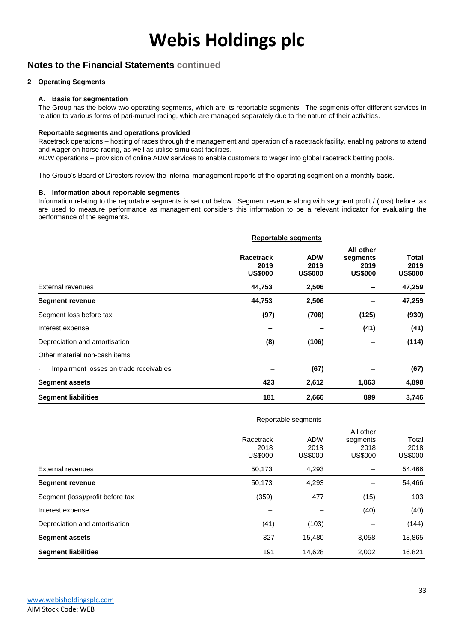### **Notes to the Financial Statements continued**

#### **2 Operating Segments**

#### **A. Basis for segmentation**

The Group has the below two operating segments, which are its reportable segments. The segments offer different services in relation to various forms of pari-mutuel racing, which are managed separately due to the nature of their activities.

#### **Reportable segments and operations provided**

Racetrack operations – hosting of races through the management and operation of a racetrack facility, enabling patrons to attend and wager on horse racing, as well as utilise simulcast facilities.

ADW operations – provision of online ADW services to enable customers to wager into global racetrack betting pools.

The Group's Board of Directors review the internal management reports of the operating segment on a monthly basis.

#### **B. Information about reportable segments**

Information relating to the reportable segments is set out below. Segment revenue along with segment profit / (loss) before tax are used to measure performance as management considers this information to be a relevant indicator for evaluating the performance of the segments.

|                                                                    | <b>Reportable segments</b>                 |                                      |                                                 |                                 |
|--------------------------------------------------------------------|--------------------------------------------|--------------------------------------|-------------------------------------------------|---------------------------------|
|                                                                    | <b>Racetrack</b><br>2019<br><b>US\$000</b> | <b>ADW</b><br>2019<br><b>US\$000</b> | All other<br>segments<br>2019<br><b>US\$000</b> | Total<br>2019<br><b>US\$000</b> |
| External revenues                                                  | 44,753                                     | 2,506                                | $\overline{\phantom{a}}$                        | 47,259                          |
| <b>Segment revenue</b>                                             | 44,753                                     | 2,506                                | $\overline{\phantom{0}}$                        | 47,259                          |
| Segment loss before tax                                            | (97)                                       | (708)                                | (125)                                           | (930)                           |
| Interest expense                                                   |                                            |                                      | (41)                                            | (41)                            |
| Depreciation and amortisation                                      | (8)                                        | (106)                                |                                                 | (114)                           |
| Other material non-cash items:                                     |                                            |                                      |                                                 |                                 |
| Impairment losses on trade receivables<br>$\overline{\phantom{a}}$ |                                            | (67)                                 |                                                 | (67)                            |
| <b>Segment assets</b>                                              | 423                                        | 2,612                                | 1,863                                           | 4,898                           |
| <b>Segment liabilities</b>                                         | 181                                        | 2,666                                | 899                                             | 3,746                           |

|                                  | Reportable segments                 |                                      |                                                 |                                 |
|----------------------------------|-------------------------------------|--------------------------------------|-------------------------------------------------|---------------------------------|
|                                  | Racetrack<br>2018<br><b>US\$000</b> | <b>ADW</b><br>2018<br><b>US\$000</b> | All other<br>segments<br>2018<br><b>US\$000</b> | Total<br>2018<br><b>US\$000</b> |
| <b>External revenues</b>         | 50,173                              | 4,293                                |                                                 | 54,466                          |
| <b>Segment revenue</b>           | 50,173                              | 4,293                                |                                                 | 54,466                          |
| Segment (loss)/profit before tax | (359)                               | 477                                  | (15)                                            | 103                             |
| Interest expense                 |                                     |                                      | (40)                                            | (40)                            |
| Depreciation and amortisation    | (41)                                | (103)                                |                                                 | (144)                           |
| <b>Segment assets</b>            | 327                                 | 15,480                               | 3,058                                           | 18,865                          |
| <b>Segment liabilities</b>       | 191                                 | 14.628                               | 2,002                                           | 16,821                          |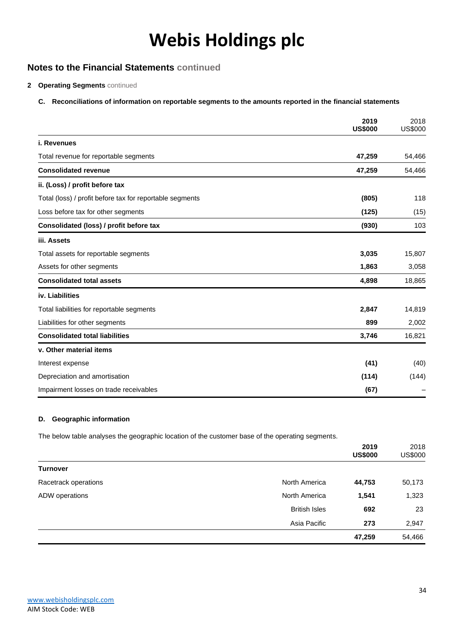### **Notes to the Financial Statements continued**

#### **2 Operating Segments** continued

#### **C. Reconciliations of information on reportable segments to the amounts reported in the financial statements**

|                                                          | 2019<br><b>US\$000</b> | 2018<br><b>US\$000</b> |
|----------------------------------------------------------|------------------------|------------------------|
| i. Revenues                                              |                        |                        |
| Total revenue for reportable segments                    | 47,259                 | 54,466                 |
| <b>Consolidated revenue</b>                              | 47,259                 | 54,466                 |
| ii. (Loss) / profit before tax                           |                        |                        |
| Total (loss) / profit before tax for reportable segments | (805)                  | 118                    |
| Loss before tax for other segments                       | (125)                  | (15)                   |
| Consolidated (loss) / profit before tax                  | (930)                  | 103                    |
| iii. Assets                                              |                        |                        |
| Total assets for reportable segments                     | 3,035                  | 15,807                 |
| Assets for other segments                                | 1,863                  | 3,058                  |
| <b>Consolidated total assets</b>                         | 4,898                  | 18,865                 |
| iv. Liabilities                                          |                        |                        |
| Total liabilities for reportable segments                | 2,847                  | 14,819                 |
| Liabilities for other segments                           | 899                    | 2,002                  |
| <b>Consolidated total liabilities</b>                    | 3,746                  | 16,821                 |
| v. Other material items                                  |                        |                        |
| Interest expense                                         | (41)                   | (40)                   |
| Depreciation and amortisation                            | (114)                  | (144)                  |
| Impairment losses on trade receivables                   | (67)                   |                        |

#### **D. Geographic information**

The below table analyses the geographic location of the customer base of the operating segments.

|                      |                      | 2019<br><b>US\$000</b> | 2018<br><b>US\$000</b> |
|----------------------|----------------------|------------------------|------------------------|
| <b>Turnover</b>      |                      |                        |                        |
| Racetrack operations | North America        | 44,753                 | 50,173                 |
| ADW operations       | North America        | 1,541                  | 1,323                  |
|                      | <b>British Isles</b> | 692                    | 23                     |
|                      | Asia Pacific         | 273                    | 2,947                  |
|                      |                      | 47,259                 | 54,466                 |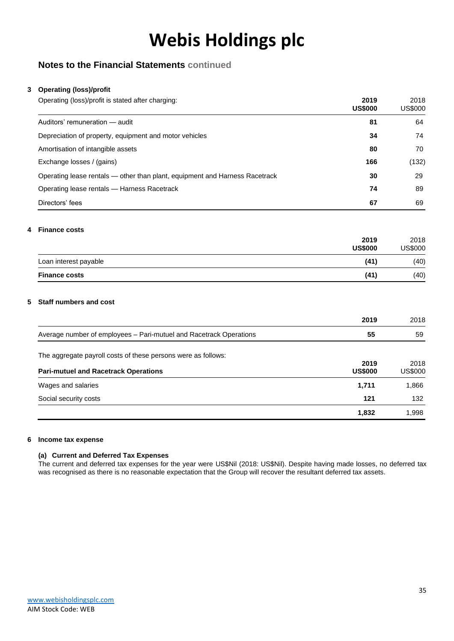### **Notes to the Financial Statements continued**

#### **3 Operating (loss)/profit**

| Operating (loss)/profit is stated after charging:                           | 2019<br><b>US\$000</b> | 2018<br>US\$000 |
|-----------------------------------------------------------------------------|------------------------|-----------------|
| Auditors' remuneration - audit                                              | 81                     | 64              |
| Depreciation of property, equipment and motor vehicles                      | 34                     | 74              |
| Amortisation of intangible assets                                           | 80                     | 70              |
| Exchange losses / (gains)                                                   | 166                    | (132)           |
| Operating lease rentals — other than plant, equipment and Harness Racetrack | 30                     | 29              |
| Operating lease rentals — Harness Racetrack                                 | 74                     | 89              |
| Directors' fees                                                             | 67                     | 69              |

#### **4 Finance costs**

|                       | 2019<br><b>US\$000</b> | 2018<br>US\$000 |
|-----------------------|------------------------|-----------------|
| Loan interest payable | (41)                   | (40)            |
| <b>Finance costs</b>  | (41)                   | (40)            |

#### **5 Staff numbers and cost**

|                                                                    | 2019                   | 2018            |
|--------------------------------------------------------------------|------------------------|-----------------|
| Average number of employees - Pari-mutuel and Racetrack Operations | 55                     | 59              |
| The aggregate payroll costs of these persons were as follows:      |                        |                 |
| <b>Pari-mutuel and Racetrack Operations</b>                        | 2019<br><b>US\$000</b> | 2018<br>US\$000 |
| Wages and salaries                                                 | 1,711                  | 1,866           |
| Social security costs                                              | 121                    | 132             |
|                                                                    | 1,832                  | 1,998           |

#### **6 Income tax expense**

#### **(a) Current and Deferred Tax Expenses**

The current and deferred tax expenses for the year were US\$Nil (2018: US\$Nil). Despite having made losses, no deferred tax was recognised as there is no reasonable expectation that the Group will recover the resultant deferred tax assets.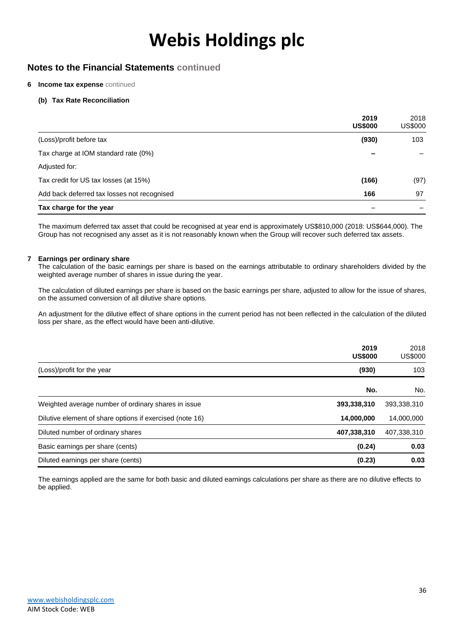### **Notes to the Financial Statements continued**

#### **6 Income tax expense** continued

#### **(b) Tax Rate Reconciliation**

|                                             | 2019<br><b>US\$000</b> | 2018<br><b>US\$000</b> |
|---------------------------------------------|------------------------|------------------------|
| (Loss)/profit before tax                    | (930)                  | 103                    |
| Tax charge at IOM standard rate (0%)        |                        |                        |
| Adjusted for:                               |                        |                        |
| Tax credit for US tax losses (at 15%)       | (166)                  | (97)                   |
| Add back deferred tax losses not recognised | 166                    | 97                     |
| Tax charge for the year                     |                        |                        |

The maximum deferred tax asset that could be recognised at year end is approximately US\$810,000 (2018: US\$644,000). The Group has not recognised any asset as it is not reasonably known when the Group will recover such deferred tax assets.

#### **7 Earnings per ordinary share**

The calculation of the basic earnings per share is based on the earnings attributable to ordinary shareholders divided by the weighted average number of shares in issue during the year.

The calculation of diluted earnings per share is based on the basic earnings per share, adjusted to allow for the issue of shares, on the assumed conversion of all dilutive share options.

An adjustment for the dilutive effect of share options in the current period has not been reflected in the calculation of the diluted loss per share, as the effect would have been anti-dilutive.

|                                                          | 2019<br><b>US\$000</b> | 2018<br><b>US\$000</b> |
|----------------------------------------------------------|------------------------|------------------------|
| (Loss)/profit for the year                               | (930)                  | 103                    |
|                                                          | No.                    | No.                    |
| Weighted average number of ordinary shares in issue      | 393,338,310            | 393,338,310            |
| Dilutive element of share options if exercised (note 16) | 14,000,000             | 14,000,000             |
| Diluted number of ordinary shares                        | 407,338,310            | 407,338,310            |
| Basic earnings per share (cents)                         | (0.24)                 | 0.03                   |
| Diluted earnings per share (cents)                       | (0.23)                 | 0.03                   |

The earnings applied are the same for both basic and diluted earnings calculations per share as there are no dilutive effects to be applied.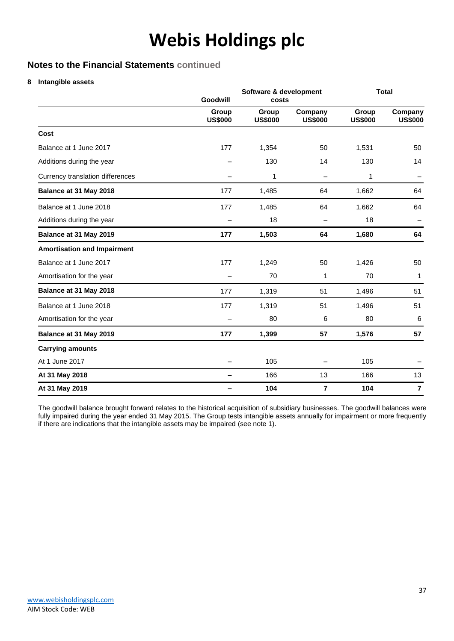### **Notes to the Financial Statements continued**

**8 Intangible assets**

|                                    | Software & development<br>Goodwill<br>costs |                         |                           |                         | <b>Total</b>              |
|------------------------------------|---------------------------------------------|-------------------------|---------------------------|-------------------------|---------------------------|
|                                    | Group<br><b>US\$000</b>                     | Group<br><b>US\$000</b> | Company<br><b>US\$000</b> | Group<br><b>US\$000</b> | Company<br><b>US\$000</b> |
| Cost                               |                                             |                         |                           |                         |                           |
| Balance at 1 June 2017             | 177                                         | 1,354                   | 50                        | 1,531                   | 50                        |
| Additions during the year          |                                             | 130                     | 14                        | 130                     | 14                        |
| Currency translation differences   |                                             | 1                       | $\overline{\phantom{0}}$  | 1                       |                           |
| Balance at 31 May 2018             | 177                                         | 1,485                   | 64                        | 1,662                   | 64                        |
| Balance at 1 June 2018             | 177                                         | 1,485                   | 64                        | 1,662                   | 64                        |
| Additions during the year          |                                             | 18                      |                           | 18                      |                           |
| Balance at 31 May 2019             | 177                                         | 1,503                   | 64                        | 1,680                   | 64                        |
| <b>Amortisation and Impairment</b> |                                             |                         |                           |                         |                           |
| Balance at 1 June 2017             | 177                                         | 1,249                   | 50                        | 1,426                   | 50                        |
| Amortisation for the year          |                                             | 70                      | 1                         | 70                      | 1                         |
| Balance at 31 May 2018             | 177                                         | 1,319                   | 51                        | 1,496                   | 51                        |
| Balance at 1 June 2018             | 177                                         | 1,319                   | 51                        | 1,496                   | 51                        |
| Amortisation for the year          |                                             | 80                      | 6                         | 80                      | 6                         |
| Balance at 31 May 2019             | 177                                         | 1,399                   | 57                        | 1,576                   | 57                        |
| <b>Carrying amounts</b>            |                                             |                         |                           |                         |                           |
| At 1 June 2017                     |                                             | 105                     |                           | 105                     |                           |
| At 31 May 2018                     |                                             | 166                     | 13                        | 166                     | 13                        |
| At 31 May 2019                     |                                             | 104                     | $\overline{7}$            | 104                     | $\overline{7}$            |

The goodwill balance brought forward relates to the historical acquisition of subsidiary businesses. The goodwill balances were fully impaired during the year ended 31 May 2015. The Group tests intangible assets annually for impairment or more frequently if there are indications that the intangible assets may be impaired (see note 1).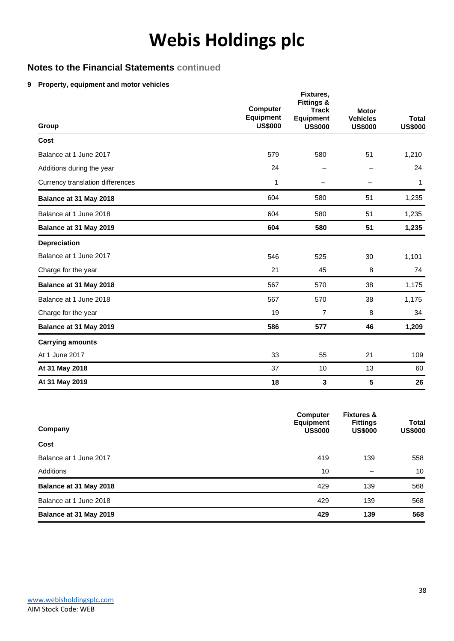### **Notes to the Financial Statements continued**

#### **9 Property, equipment and motor vehicles**

| Group                            | <b>Computer</b><br><b>Equipment</b><br><b>US\$000</b> | Fixtures,<br><b>Fittings &amp;</b><br><b>Track</b><br><b>Equipment</b><br><b>US\$000</b> | <b>Motor</b><br><b>Vehicles</b><br><b>US\$000</b> | <b>Total</b><br><b>US\$000</b> |
|----------------------------------|-------------------------------------------------------|------------------------------------------------------------------------------------------|---------------------------------------------------|--------------------------------|
| Cost                             |                                                       |                                                                                          |                                                   |                                |
| Balance at 1 June 2017           | 579                                                   | 580                                                                                      | 51                                                | 1,210                          |
| Additions during the year        | 24                                                    |                                                                                          |                                                   | 24                             |
| Currency translation differences | 1                                                     |                                                                                          |                                                   | 1                              |
| Balance at 31 May 2018           | 604                                                   | 580                                                                                      | 51                                                | 1,235                          |
| Balance at 1 June 2018           | 604                                                   | 580                                                                                      | 51                                                | 1,235                          |
| Balance at 31 May 2019           | 604                                                   | 580                                                                                      | 51                                                | 1,235                          |
| <b>Depreciation</b>              |                                                       |                                                                                          |                                                   |                                |
| Balance at 1 June 2017           | 546                                                   | 525                                                                                      | 30                                                | 1,101                          |
| Charge for the year              | 21                                                    | 45                                                                                       | 8                                                 | 74                             |
| Balance at 31 May 2018           | 567                                                   | 570                                                                                      | 38                                                | 1,175                          |
| Balance at 1 June 2018           | 567                                                   | 570                                                                                      | 38                                                | 1,175                          |
| Charge for the year              | 19                                                    | 7                                                                                        | 8                                                 | 34                             |
| Balance at 31 May 2019           | 586                                                   | 577                                                                                      | 46                                                | 1,209                          |
| <b>Carrying amounts</b>          |                                                       |                                                                                          |                                                   |                                |
| At 1 June 2017                   | 33                                                    | 55                                                                                       | 21                                                | 109                            |
| At 31 May 2018                   | 37                                                    | 10                                                                                       | 13                                                | 60                             |
| At 31 May 2019                   | 18                                                    | 3                                                                                        | 5                                                 | 26                             |

| Company                | <b>Computer</b><br><b>Equipment</b><br><b>US\$000</b> | <b>Fixtures &amp;</b><br><b>Fittings</b><br><b>US\$000</b> | <b>Total</b><br><b>US\$000</b> |
|------------------------|-------------------------------------------------------|------------------------------------------------------------|--------------------------------|
| Cost                   |                                                       |                                                            |                                |
| Balance at 1 June 2017 | 419                                                   | 139                                                        | 558                            |
| Additions              | 10                                                    | -                                                          | 10                             |
| Balance at 31 May 2018 | 429                                                   | 139                                                        | 568                            |
| Balance at 1 June 2018 | 429                                                   | 139                                                        | 568                            |
| Balance at 31 May 2019 | 429                                                   | 139                                                        | 568                            |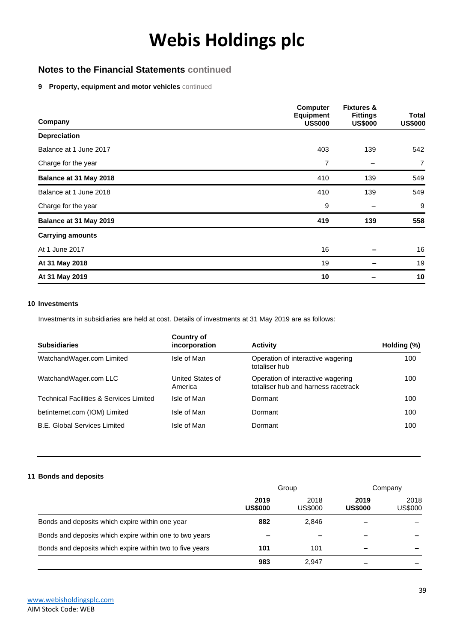### **Notes to the Financial Statements continued**

#### **9 Property, equipment and motor vehicles** continued

| Company                 | <b>Computer</b><br><b>Equipment</b><br><b>US\$000</b> | <b>Fixtures &amp;</b><br><b>Fittings</b><br><b>US\$000</b> | <b>Total</b><br><b>US\$000</b> |
|-------------------------|-------------------------------------------------------|------------------------------------------------------------|--------------------------------|
| <b>Depreciation</b>     |                                                       |                                                            |                                |
| Balance at 1 June 2017  | 403                                                   | 139                                                        | 542                            |
| Charge for the year     | 7                                                     |                                                            | $\overline{7}$                 |
| Balance at 31 May 2018  | 410                                                   | 139                                                        | 549                            |
| Balance at 1 June 2018  | 410                                                   | 139                                                        | 549                            |
| Charge for the year     | 9                                                     |                                                            | 9                              |
| Balance at 31 May 2019  | 419                                                   | 139                                                        | 558                            |
| <b>Carrying amounts</b> |                                                       |                                                            |                                |
| At 1 June 2017          | 16                                                    |                                                            | 16                             |
| At 31 May 2018          | 19                                                    |                                                            | 19                             |
| At 31 May 2019          | 10                                                    |                                                            | 10                             |

#### **10 Investments**

Investments in subsidiaries are held at cost. Details of investments at 31 May 2019 are as follows:

| <b>Subsidiaries</b>                                | Country of<br>incorporation | <b>Activity</b>                                                          | Holding (%) |
|----------------------------------------------------|-----------------------------|--------------------------------------------------------------------------|-------------|
| WatchandWager.com Limited                          | Isle of Man                 | Operation of interactive wagering<br>totaliser hub                       | 100         |
| WatchandWager.com LLC                              | United States of<br>America | Operation of interactive wagering<br>totaliser hub and harness racetrack | 100         |
| <b>Technical Facilities &amp; Services Limited</b> | Isle of Man                 | Dormant                                                                  | 100         |
| betinternet.com (IOM) Limited                      | Isle of Man                 | Dormant                                                                  | 100         |
| <b>B.E. Global Services Limited</b>                | Isle of Man                 | Dormant                                                                  | 100         |

#### **11 Bonds and deposits**

|                                                          | Group                  |                 | Company                |                        |
|----------------------------------------------------------|------------------------|-----------------|------------------------|------------------------|
|                                                          | 2019<br><b>US\$000</b> | 2018<br>US\$000 | 2019<br><b>US\$000</b> | 2018<br><b>US\$000</b> |
| Bonds and deposits which expire within one year          | 882                    | 2.846           |                        |                        |
| Bonds and deposits which expire within one to two years  |                        |                 |                        |                        |
| Bonds and deposits which expire within two to five years | 101                    | 101             |                        |                        |
|                                                          | 983                    | 2.947           |                        |                        |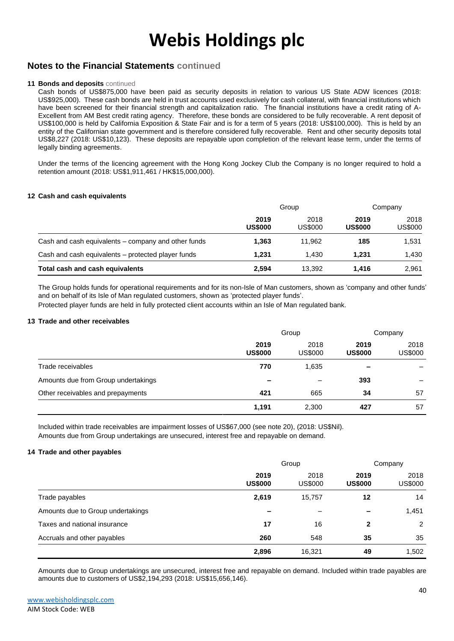### **Notes to the Financial Statements continued**

#### **11 Bonds and deposits** continued

Cash bonds of US\$875,000 have been paid as security deposits in relation to various US State ADW licences (2018: US\$925,000). These cash bonds are held in trust accounts used exclusively for cash collateral, with financial institutions which have been screened for their financial strength and capitalization ratio. The financial institutions have a credit rating of A-Excellent from AM Best credit rating agency. Therefore, these bonds are considered to be fully recoverable. A rent deposit of US\$100,000 is held by California Exposition & State Fair and is for a term of 5 years (2018: US\$100,000). This is held by an entity of the Californian state government and is therefore considered fully recoverable. Rent and other security deposits total US\$8,227 (2018: US\$10,123). These deposits are repayable upon completion of the relevant lease term, under the terms of legally binding agreements.

Under the terms of the licencing agreement with the Hong Kong Jockey Club the Company is no longer required to hold a retention amount (2018: US\$1,911,461 / HK\$15,000,000).

#### **12 Cash and cash equivalents**

|                                                     | Group                  |                 | Company                |                 |
|-----------------------------------------------------|------------------------|-----------------|------------------------|-----------------|
|                                                     | 2019<br><b>US\$000</b> | 2018<br>US\$000 | 2019<br><b>US\$000</b> | 2018<br>US\$000 |
| Cash and cash equivalents – company and other funds | 1.363                  | 11.962          | 185                    | 1,531           |
| Cash and cash equivalents – protected player funds  | 1.231                  | 1.430           | 1.231                  | 1.430           |
| Total cash and cash equivalents                     | 2,594                  | 13.392          | 1.416                  | 2,961           |

The Group holds funds for operational requirements and for its non-Isle of Man customers, shown as 'company and other funds' and on behalf of its Isle of Man regulated customers, shown as 'protected player funds'.

Protected player funds are held in fully protected client accounts within an Isle of Man regulated bank.

#### **13 Trade and other receivables**

|                                     | Group                    |                 | Company                |                 |
|-------------------------------------|--------------------------|-----------------|------------------------|-----------------|
|                                     | 2019<br><b>US\$000</b>   | 2018<br>US\$000 | 2019<br><b>US\$000</b> | 2018<br>US\$000 |
| Trade receivables                   | 770                      | 1,635           |                        |                 |
| Amounts due from Group undertakings | $\overline{\phantom{a}}$ |                 | 393                    |                 |
| Other receivables and prepayments   | 421                      | 665             | 34                     | 57              |
|                                     | 1,191                    | 2,300           | 427                    | 57              |

Included within trade receivables are impairment losses of US\$67,000 (see note 20), (2018: US\$Nil). Amounts due from Group undertakings are unsecured, interest free and repayable on demand.

#### **14 Trade and other payables**

|                                   | Group                  |                        | Company                |                 |
|-----------------------------------|------------------------|------------------------|------------------------|-----------------|
|                                   | 2019<br><b>US\$000</b> | 2018<br><b>US\$000</b> | 2019<br><b>US\$000</b> | 2018<br>US\$000 |
| Trade payables                    | 2,619                  | 15,757                 | 12                     | 14              |
| Amounts due to Group undertakings |                        |                        |                        | 1,451           |
| Taxes and national insurance      | 17                     | 16                     | 2                      | 2               |
| Accruals and other payables       | 260                    | 548                    | 35                     | 35              |
|                                   | 2,896                  | 16,321                 | 49                     | 1,502           |

Amounts due to Group undertakings are unsecured, interest free and repayable on demand. Included within trade payables are amounts due to customers of US\$2,194,293 (2018: US\$15,656,146).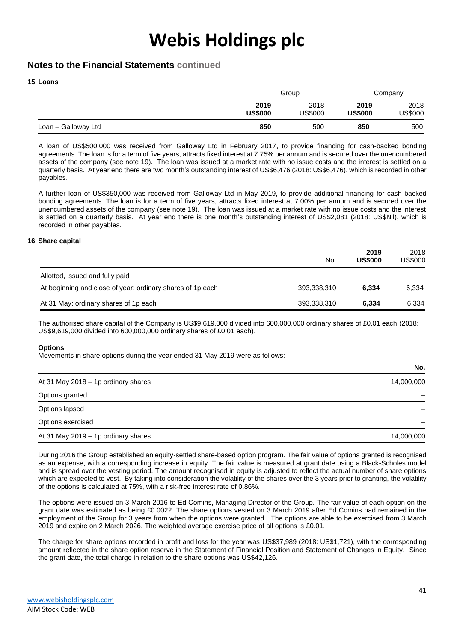### **Notes to the Financial Statements continued**

#### **15 Loans**

|                     | Group                  |                 | Company                |                 |
|---------------------|------------------------|-----------------|------------------------|-----------------|
|                     | 2019<br><b>US\$000</b> | 2018<br>US\$000 | 2019<br><b>US\$000</b> | 2018<br>US\$000 |
| Loan - Galloway Ltd | 850                    | 500             | 850                    | 500             |

A loan of US\$500,000 was received from Galloway Ltd in February 2017, to provide financing for cash-backed bonding agreements. The loan is for a term of five years, attracts fixed interest at 7.75% per annum and is secured over the unencumbered assets of the company (see note 19). The loan was issued at a market rate with no issue costs and the interest is settled on a quarterly basis. At year end there are two month's outstanding interest of US\$6,476 (2018: US\$6,476), which is recorded in other payables.

A further loan of US\$350,000 was received from Galloway Ltd in May 2019, to provide additional financing for cash-backed bonding agreements. The loan is for a term of five years, attracts fixed interest at 7.00% per annum and is secured over the unencumbered assets of the company (see note 19). The loan was issued at a market rate with no issue costs and the interest is settled on a quarterly basis. At year end there is one month's outstanding interest of US\$2,081 (2018: US\$Nil), which is recorded in other payables.

#### **16 Share capital**

|                                                            | No.         | 2019<br><b>US\$000</b> | 2018<br>US\$000 |
|------------------------------------------------------------|-------------|------------------------|-----------------|
| Allotted, issued and fully paid                            |             |                        |                 |
| At beginning and close of year: ordinary shares of 1p each | 393,338,310 | 6.334                  | 6,334           |
| At 31 May: ordinary shares of 1p each                      | 393,338,310 | 6.334                  | 6,334           |

The authorised share capital of the Company is US\$9,619,000 divided into 600,000,000 ordinary shares of £0.01 each (2018: US\$9,619,000 divided into 600,000,000 ordinary shares of £0.01 each).

#### **Options**

Movements in share options during the year ended 31 May 2019 were as follows:

|                                     | No.        |
|-------------------------------------|------------|
| At 31 May 2018 - 1p ordinary shares | 14,000,000 |
| Options granted                     |            |
| Options lapsed                      |            |
| Options exercised                   |            |
| At 31 May 2019 - 1p ordinary shares | 14,000,000 |

During 2016 the Group established an equity-settled share-based option program. The fair value of options granted is recognised as an expense, with a corresponding increase in equity. The fair value is measured at grant date using a Black-Scholes model and is spread over the vesting period. The amount recognised in equity is adjusted to reflect the actual number of share options which are expected to vest. By taking into consideration the volatility of the shares over the 3 years prior to granting, the volatility of the options is calculated at 75%, with a risk-free interest rate of 0.86%.

The options were issued on 3 March 2016 to Ed Comins, Managing Director of the Group. The fair value of each option on the grant date was estimated as being £0.0022. The share options vested on 3 March 2019 after Ed Comins had remained in the employment of the Group for 3 years from when the options were granted. The options are able to be exercised from 3 March 2019 and expire on 2 March 2026. The weighted average exercise price of all options is £0.01.

The charge for share options recorded in profit and loss for the year was US\$37,989 (2018: US\$1,721), with the corresponding amount reflected in the share option reserve in the Statement of Financial Position and Statement of Changes in Equity. Since the grant date, the total charge in relation to the share options was US\$42,126.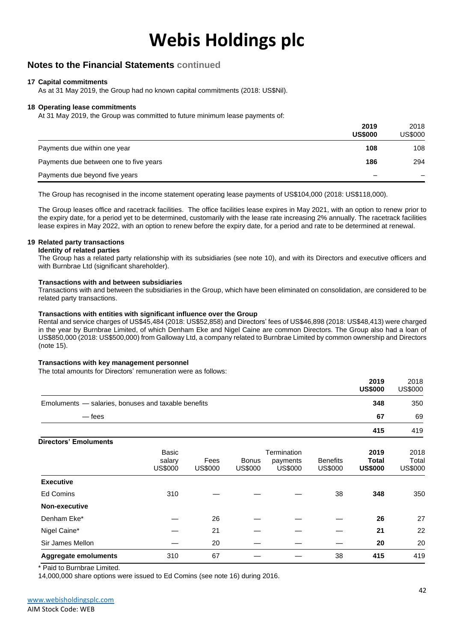### **Notes to the Financial Statements continued**

#### **17 Capital commitments**

As at 31 May 2019, the Group had no known capital commitments (2018: US\$Nil).

#### **18 Operating lease commitments**

At 31 May 2019, the Group was committed to future minimum lease payments of:

|                                        | 2019<br><b>US\$000</b> | 2018<br><b>US\$000</b> |
|----------------------------------------|------------------------|------------------------|
| Payments due within one year           | 108                    | 108                    |
| Payments due between one to five years | 186                    | 294                    |
| Payments due beyond five years         |                        |                        |

The Group has recognised in the income statement operating lease payments of US\$104,000 (2018: US\$118,000).

The Group leases office and racetrack facilities. The office facilities lease expires in May 2021, with an option to renew prior to the expiry date, for a period yet to be determined, customarily with the lease rate increasing 2% annually. The racetrack facilities lease expires in May 2022, with an option to renew before the expiry date, for a period and rate to be determined at renewal.

#### **19 Related party transactions**

**Identity of related parties**

The Group has a related party relationship with its subsidiaries (see note 10), and with its Directors and executive officers and with Burnbrae Ltd (significant shareholder).

#### **Transactions with and between subsidiaries**

Transactions with and between the subsidiaries in the Group, which have been eliminated on consolidation, are considered to be related party transactions.

#### **Transactions with entities with significant influence over the Group**

Rental and service charges of US\$45,484 (2018: US\$52,858) and Directors' fees of US\$46,898 (2018: US\$48,413) were charged in the year by Burnbrae Limited, of which Denham Eke and Nigel Caine are common Directors. The Group also had a loan of US\$850,000 (2018: US\$500,000) from Galloway Ltd, a company related to Burnbrae Limited by common ownership and Directors (note 15).

#### **Transactions with key management personnel**

The total amounts for Directors' remuneration were as follows:

|                                                     |                          |                 |                         |                            |                            | 2019<br><b>US\$000</b>  | 2018<br><b>US\$000</b>  |
|-----------------------------------------------------|--------------------------|-----------------|-------------------------|----------------------------|----------------------------|-------------------------|-------------------------|
| Emoluments - salaries, bonuses and taxable benefits |                          |                 |                         |                            |                            | 348                     | 350                     |
| $-\epsilon$ rees                                    |                          |                 |                         |                            |                            | 67                      | 69                      |
|                                                     |                          |                 |                         |                            |                            | 415                     | 419                     |
| <b>Directors' Emoluments</b>                        |                          |                 |                         |                            |                            |                         |                         |
|                                                     | <b>Basic</b>             |                 |                         | Termination                |                            | 2019                    | 2018                    |
|                                                     | salary<br><b>US\$000</b> | Fees<br>US\$000 | Bonus<br><b>US\$000</b> | payments<br><b>US\$000</b> | <b>Benefits</b><br>US\$000 | Total<br><b>US\$000</b> | Total<br><b>US\$000</b> |
|                                                     |                          |                 |                         |                            |                            |                         |                         |
| <b>Executive</b>                                    |                          |                 |                         |                            |                            |                         |                         |
| <b>Ed Comins</b>                                    | 310                      |                 |                         |                            | 38                         | 348                     | 350                     |
| Non-executive                                       |                          |                 |                         |                            |                            |                         |                         |
| Denham Eke*                                         |                          | 26              |                         |                            |                            | 26                      | 27                      |
| Nigel Caine*                                        |                          | 21              |                         |                            |                            | 21                      | 22                      |
| Sir James Mellon                                    |                          | 20              |                         |                            |                            | 20                      | 20                      |
| <b>Aggregate emoluments</b>                         | 310                      | 67              |                         |                            | 38                         | 415                     | 419                     |

\* Paid to Burnbrae Limited.

14,000,000 share options were issued to Ed Comins (see note 16) during 2016.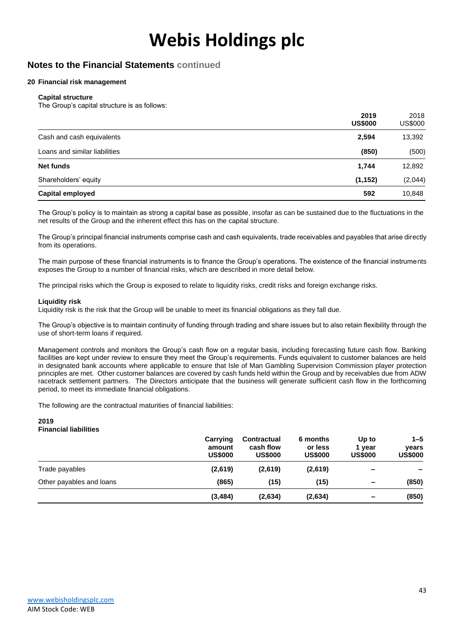### **Notes to the Financial Statements continued**

#### **20 Financial risk management**

#### **Capital structure**

The Group's capital structure is as follows:

|                               | 2019<br><b>US\$000</b> | 2018<br><b>US\$000</b> |
|-------------------------------|------------------------|------------------------|
| Cash and cash equivalents     | 2,594                  | 13,392                 |
| Loans and similar liabilities | (850)                  | (500)                  |
| <b>Net funds</b>              | 1,744                  | 12,892                 |
| Shareholders' equity          | (1, 152)               | (2,044)                |
| <b>Capital employed</b>       | 592                    | 10,848                 |

The Group's policy is to maintain as strong a capital base as possible, insofar as can be sustained due to the fluctuations in the net results of the Group and the inherent effect this has on the capital structure.

The Group's principal financial instruments comprise cash and cash equivalents, trade receivables and payables that arise directly from its operations.

The main purpose of these financial instruments is to finance the Group's operations. The existence of the financial instruments exposes the Group to a number of financial risks, which are described in more detail below.

The principal risks which the Group is exposed to relate to liquidity risks, credit risks and foreign exchange risks.

#### **Liquidity risk**

Liquidity risk is the risk that the Group will be unable to meet its financial obligations as they fall due.

The Group's objective is to maintain continuity of funding through trading and share issues but to also retain flexibility through the use of short-term loans if required.

Management controls and monitors the Group's cash flow on a regular basis, including forecasting future cash flow. Banking facilities are kept under review to ensure they meet the Group's requirements. Funds equivalent to customer balances are held in designated bank accounts where applicable to ensure that Isle of Man Gambling Supervision Commission player protection principles are met. Other customer balances are covered by cash funds held within the Group and by receivables due from ADW racetrack settlement partners. The Directors anticipate that the business will generate sufficient cash flow in the forthcoming period, to meet its immediate financial obligations.

The following are the contractual maturities of financial liabilities:

#### **2019 Financial liabilities**

|                          | Carrying<br>amount<br><b>US\$000</b> | <b>Contractual</b><br>cash flow<br><b>US\$000</b> | 6 months<br>or less<br><b>US\$000</b> | Up to<br>1 vear<br><b>US\$000</b> | $1 - 5$<br>vears<br><b>US\$000</b> |
|--------------------------|--------------------------------------|---------------------------------------------------|---------------------------------------|-----------------------------------|------------------------------------|
| Trade payables           | (2,619)                              | (2,619)                                           | (2,619)                               | $\overline{\phantom{0}}$          |                                    |
| Other payables and loans | (865)                                | (15)                                              | (15)                                  | $\overline{\phantom{0}}$          | (850)                              |
|                          | (3, 484)                             | (2,634)                                           | (2,634)                               | $\overline{\phantom{a}}$          | (850)                              |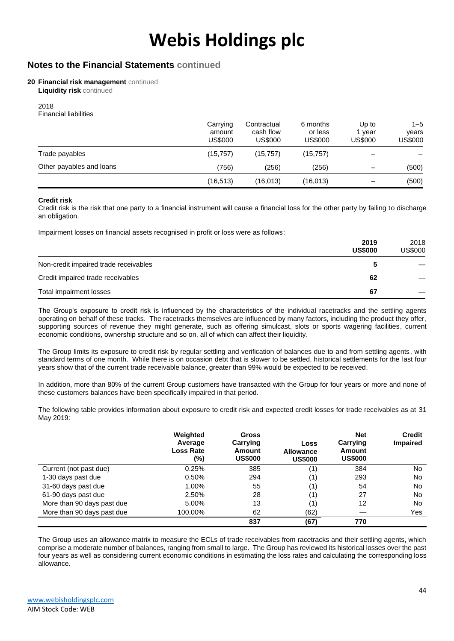### **Notes to the Financial Statements continued**

#### **20 Financial risk management** continued

**Liquidity risk** continued

2018 Financial liabilities

|                          | Carrying<br>amount<br>US\$000 | Contractual<br>cash flow<br>US\$000 | 6 months<br>or less<br>US\$000 | Up to<br>vear<br>US\$000 | $1 - 5$<br>vears<br><b>US\$000</b> |
|--------------------------|-------------------------------|-------------------------------------|--------------------------------|--------------------------|------------------------------------|
| Trade payables           | (15, 757)                     | (15, 757)                           | (15, 757)                      |                          |                                    |
| Other payables and loans | (756)                         | (256)                               | (256)                          | $\overline{\phantom{0}}$ | (500)                              |
|                          | (16, 513)                     | (16,013)                            | (16, 013)                      |                          | (500)                              |

#### **Credit risk**

Credit risk is the risk that one party to a financial instrument will cause a financial loss for the other party by failing to discharge an obligation.

Impairment losses on financial assets recognised in profit or loss were as follows:

|                                       | 2019<br><b>US\$000</b> | 2018<br><b>US\$000</b> |
|---------------------------------------|------------------------|------------------------|
| Non-credit impaired trade receivables |                        |                        |
| Credit impaired trade receivables     | 62                     |                        |
| Total impairment losses               | 67                     |                        |

The Group's exposure to credit risk is influenced by the characteristics of the individual racetracks and the settling agents operating on behalf of these tracks. The racetracks themselves are influenced by many factors, including the product they offer, supporting sources of revenue they might generate, such as offering simulcast, slots or sports wagering facilities, current economic conditions, ownership structure and so on, all of which can affect their liquidity.

The Group limits its exposure to credit risk by regular settling and verification of balances due to and from settling agents, with standard terms of one month. While there is on occasion debt that is slower to be settled, historical settlements for the last four years show that of the current trade receivable balance, greater than 99% would be expected to be received.

In addition, more than 80% of the current Group customers have transacted with the Group for four years or more and none of these customers balances have been specifically impaired in that period.

The following table provides information about exposure to credit risk and expected credit losses for trade receivables as at 31 May 2019:

|                            | Weighted<br>Average<br><b>Loss Rate</b><br>(%) | <b>Gross</b><br>Carrying<br>Amount<br><b>US\$000</b> | Loss<br><b>Allowance</b><br><b>US\$000</b> | <b>Net</b><br>Carrying<br><b>Amount</b><br><b>US\$000</b> | <b>Credit</b><br><b>Impaired</b> |
|----------------------------|------------------------------------------------|------------------------------------------------------|--------------------------------------------|-----------------------------------------------------------|----------------------------------|
| Current (not past due)     | 0.25%                                          | 385                                                  | (1)                                        | 384                                                       | No.                              |
| 1-30 days past due         | 0.50%                                          | 294                                                  | (1)                                        | 293                                                       | No                               |
| 31-60 days past due        | 1.00%                                          | 55                                                   | (1)                                        | 54                                                        | No                               |
| 61-90 days past due        | 2.50%                                          | 28                                                   | (1)                                        | 27                                                        | No.                              |
| More than 90 days past due | 5.00%                                          | 13                                                   | (1)                                        | 12                                                        | No                               |
| More than 90 days past due | 100.00%                                        | 62                                                   | (62)                                       |                                                           | Yes                              |
|                            |                                                | 837                                                  | (67)                                       | 770                                                       |                                  |

The Group uses an allowance matrix to measure the ECLs of trade receivables from racetracks and their settling agents, which comprise a moderate number of balances, ranging from small to large. The Group has reviewed its historical losses over the past four years as well as considering current economic conditions in estimating the loss rates and calculating the corresponding loss allowance.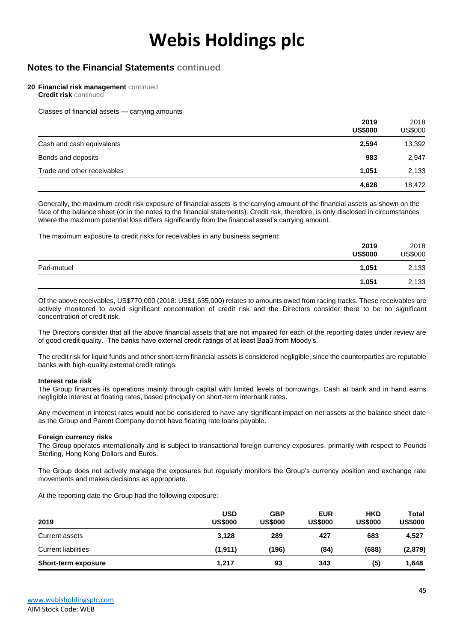### **Notes to the Financial Statements continued**

#### **20 Financial risk management** continued

**Credit risk** continued

Classes of financial assets — carrying amounts

|                             | 2019<br><b>US\$000</b> | 2018<br><b>US\$000</b> |
|-----------------------------|------------------------|------------------------|
| Cash and cash equivalents   | 2,594                  | 13,392                 |
| Bonds and deposits          | 983                    | 2,947                  |
| Trade and other receivables | 1.051                  | 2,133                  |
|                             | 4,628                  | 18,472                 |

Generally, the maximum credit risk exposure of financial assets is the carrying amount of the financial assets as shown on the face of the balance sheet (or in the notes to the financial statements). Credit risk, therefore, is only disclosed in circumstances where the maximum potential loss differs significantly from the financial asset's carrying amount.

The maximum exposure to credit risks for receivables in any business segment:

|             | 2019<br><b>US\$000</b> | 2018<br><b>US\$000</b> |
|-------------|------------------------|------------------------|
| Pari-mutuel | 1,051                  | 2,133                  |
|             | 1,051                  | 2,133                  |

Of the above receivables, US\$770,000 (2018: US\$1,635,000) relates to amounts owed from racing tracks. These receivables are actively monitored to avoid significant concentration of credit risk and the Directors consider there to be no significant concentration of credit risk.

The Directors consider that all the above financial assets that are not impaired for each of the reporting dates under review are of good credit quality. The banks have external credit ratings of at least Baa3 from Moody's.

The credit risk for liquid funds and other short-term financial assets is considered negligible, since the counterparties are reputable banks with high-quality external credit ratings.

#### **Interest rate risk**

The Group finances its operations mainly through capital with limited levels of borrowings. Cash at bank and in hand earns negligible interest at floating rates, based principally on short-term interbank rates.

Any movement in interest rates would not be considered to have any significant impact on net assets at the balance sheet date as the Group and Parent Company do not have floating rate loans payable.

#### **Foreign currency risks**

The Group operates internationally and is subject to transactional foreign currency exposures, primarily with respect to Pounds Sterling, Hong Kong Dollars and Euros.

The Group does not actively manage the exposures but regularly monitors the Group's currency position and exchange rate movements and makes decisions as appropriate.

At the reporting date the Group had the following exposure:

| 2019                       | <b>USD</b><br><b>US\$000</b> | <b>GBP</b><br><b>US\$000</b> | <b>EUR</b><br><b>US\$000</b> | <b>HKD</b><br><b>US\$000</b> | Total<br><b>US\$000</b> |
|----------------------------|------------------------------|------------------------------|------------------------------|------------------------------|-------------------------|
| Current assets             | 3.128                        | 289                          | 427                          | 683                          | 4,527                   |
| <b>Current liabilities</b> | (1,911)                      | (196)                        | (84)                         | (688)                        | (2,879)                 |
| <b>Short-term exposure</b> | 1.217                        | 93                           | 343                          | (5)                          | 1,648                   |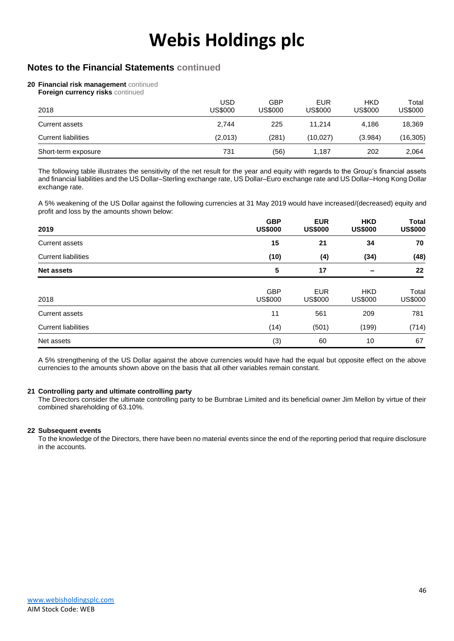### **Notes to the Financial Statements continued**

#### **20 Financial risk management** continued

**Foreign currency risks continued** 

| 2018                       | USD<br><b>US\$000</b> | GBP<br>US\$000 | <b>EUR</b><br>US\$000 | <b>HKD</b><br><b>US\$000</b> | Total<br>US\$000 |
|----------------------------|-----------------------|----------------|-----------------------|------------------------------|------------------|
| Current assets             | 2.744                 | 225            | 11.214                | 4.186                        | 18,369           |
| <b>Current liabilities</b> | (2,013)               | (281)          | (10,027)              | (3.984)                      | (16, 305)        |
| Short-term exposure        | 731                   | (56)           | 1.187                 | 202                          | 2,064            |

The following table illustrates the sensitivity of the net result for the year and equity with regards to the Group's financial assets and financial liabilities and the US Dollar–Sterling exchange rate, US Dollar–Euro exchange rate and US Dollar–Hong Kong Dollar exchange rate.

A 5% weakening of the US Dollar against the following currencies at 31 May 2019 would have increased/(decreased) equity and profit and loss by the amounts shown below:

| 2019                       | <b>GBP</b><br><b>US\$000</b> | <b>EUR</b><br><b>US\$000</b> | <b>HKD</b><br><b>US\$000</b> | <b>Total</b><br><b>US\$000</b> |
|----------------------------|------------------------------|------------------------------|------------------------------|--------------------------------|
| <b>Current assets</b>      | 15                           | 21                           | 34                           | 70                             |
| <b>Current liabilities</b> | (10)                         | (4)                          | (34)                         | (48)                           |
| <b>Net assets</b>          | 5                            | 17                           |                              | 22                             |
| 2018                       | <b>GBP</b><br>US\$000        | <b>EUR</b><br><b>US\$000</b> | <b>HKD</b><br><b>US\$000</b> | Total<br><b>US\$000</b>        |
| <b>Current assets</b>      | 11                           | 561                          | 209                          | 781                            |
| <b>Current liabilities</b> | (14)                         | (501)                        | (199)                        | (714)                          |
| Net assets                 | (3)                          | 60                           | 10                           | 67                             |

A 5% strengthening of the US Dollar against the above currencies would have had the equal but opposite effect on the above currencies to the amounts shown above on the basis that all other variables remain constant.

#### **21 Controlling party and ultimate controlling party**

The Directors consider the ultimate controlling party to be Burnbrae Limited and its beneficial owner Jim Mellon by virtue of their combined shareholding of 63.10%.

#### **22 Subsequent events**

To the knowledge of the Directors, there have been no material events since the end of the reporting period that require disclosure in the accounts.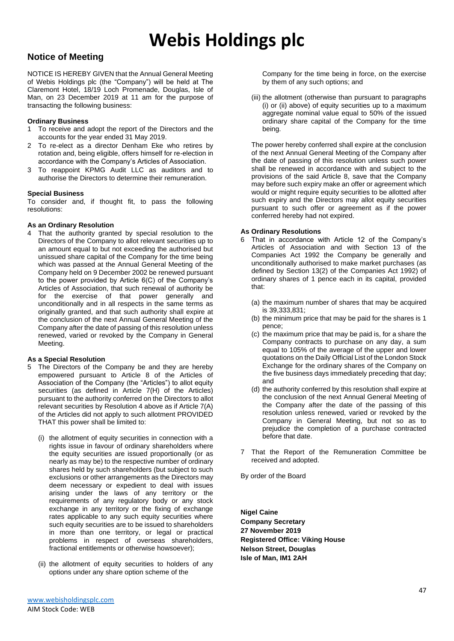### **Notice of Meeting**

NOTICE IS HEREBY GIVEN that the Annual General Meeting of Webis Holdings plc (the "Company") will be held at The Claremont Hotel, 18/19 Loch Promenade, Douglas, Isle of Man, on 23 December 2019 at 11 am for the purpose of transacting the following business:

#### **Ordinary Business**

- 1 To receive and adopt the report of the Directors and the accounts for the year ended 31 May 2019.
- 2 To re-elect as a director Denham Eke who retires by rotation and, being eligible, offers himself for re-election in accordance with the Company's Articles of Association.
- 3 To reappoint KPMG Audit LLC as auditors and to authorise the Directors to determine their remuneration.

#### **Special Business**

To consider and, if thought fit, to pass the following resolutions:

#### **As an Ordinary Resolution**

4 That the authority granted by special resolution to the Directors of the Company to allot relevant securities up to an amount equal to but not exceeding the authorised but unissued share capital of the Company for the time being which was passed at the Annual General Meeting of the Company held on 9 December 2002 be renewed pursuant to the power provided by Article 6(C) of the Company's Articles of Association, that such renewal of authority be for the exercise of that power generally and unconditionally and in all respects in the same terms as originally granted, and that such authority shall expire at the conclusion of the next Annual General Meeting of the Company after the date of passing of this resolution unless renewed, varied or revoked by the Company in General Meeting.

#### **As a Special Resolution**

- 5 The Directors of the Company be and they are hereby empowered pursuant to Article 8 of the Articles of Association of the Company (the "Articles") to allot equity securities (as defined in Article 7(H) of the Articles) pursuant to the authority conferred on the Directors to allot relevant securities by Resolution 4 above as if Article 7(A) of the Articles did not apply to such allotment PROVIDED THAT this power shall be limited to:
	- (i) the allotment of equity securities in connection with a rights issue in favour of ordinary shareholders where the equity securities are issued proportionally (or as nearly as may be) to the respective number of ordinary shares held by such shareholders (but subject to such exclusions or other arrangements as the Directors may deem necessary or expedient to deal with issues arising under the laws of any territory or the requirements of any regulatory body or any stock exchange in any territory or the fixing of exchange rates applicable to any such equity securities where such equity securities are to be issued to shareholders in more than one territory, or legal or practical problems in respect of overseas shareholders, fractional entitlements or otherwise howsoever);
	- (ii) the allotment of equity securities to holders of any options under any share option scheme of the

(iii) the allotment (otherwise than pursuant to paragraphs (i) or (ii) above) of equity securities up to a maximum aggregate nominal value equal to 50% of the issued ordinary share capital of the Company for the time being.

The power hereby conferred shall expire at the conclusion of the next Annual General Meeting of the Company after the date of passing of this resolution unless such power shall be renewed in accordance with and subject to the provisions of the said Article 8, save that the Company may before such expiry make an offer or agreement which would or might require equity securities to be allotted after such expiry and the Directors may allot equity securities pursuant to such offer or agreement as if the power conferred hereby had not expired.

#### **As Ordinary Resolutions**

- 6 That in accordance with Article 12 of the Company's Articles of Association and with Section 13 of the Companies Act 1992 the Company be generally and unconditionally authorised to make market purchases (as defined by Section 13(2) of the Companies Act 1992) of ordinary shares of 1 pence each in its capital, provided that:
	- (a) the maximum number of shares that may be acquired is 39,333,831;
	- (b) the minimum price that may be paid for the shares is 1 pence;
	- (c) the maximum price that may be paid is, for a share the Company contracts to purchase on any day, a sum equal to 105% of the average of the upper and lower quotations on the Daily Official List of the London Stock Exchange for the ordinary shares of the Company on the five business days immediately preceding that day; and
	- (d) the authority conferred by this resolution shall expire at the conclusion of the next Annual General Meeting of the Company after the date of the passing of this resolution unless renewed, varied or revoked by the Company in General Meeting, but not so as to prejudice the completion of a purchase contracted before that date.
- 7 That the Report of the Remuneration Committee be received and adopted.

By order of the Board

**Nigel Caine Company Secretary 27 November 2019 Registered Office: Viking House Nelson Street, Douglas Isle of Man, IM1 2AH**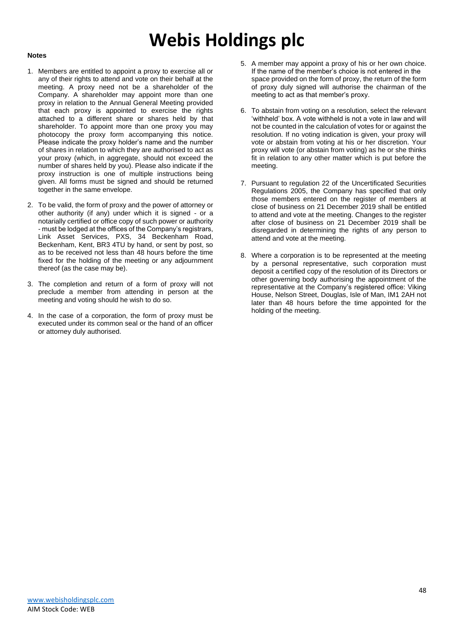#### **Notes**

- 1. Members are entitled to appoint a proxy to exercise all or any of their rights to attend and vote on their behalf at the meeting. A proxy need not be a shareholder of the Company. A shareholder may appoint more than one proxy in relation to the Annual General Meeting provided that each proxy is appointed to exercise the rights attached to a different share or shares held by that shareholder. To appoint more than one proxy you may photocopy the proxy form accompanying this notice. Please indicate the proxy holder's name and the number of shares in relation to which they are authorised to act as your proxy (which, in aggregate, should not exceed the number of shares held by you). Please also indicate if the proxy instruction is one of multiple instructions being given. All forms must be signed and should be returned together in the same envelope.
- 2. To be valid, the form of proxy and the power of attorney or other authority (if any) under which it is signed - or a notarially certified or office copy of such power or authority - must be lodged at the offices of the Company's registrars, Link Asset Services, PXS, 34 Beckenham Road, Beckenham, Kent, BR3 4TU by hand, or sent by post, so as to be received not less than 48 hours before the time fixed for the holding of the meeting or any adjournment thereof (as the case may be).
- 3. The completion and return of a form of proxy will not preclude a member from attending in person at the meeting and voting should he wish to do so.
- 4. In the case of a corporation, the form of proxy must be executed under its common seal or the hand of an officer or attorney duly authorised.
- 5. A member may appoint a proxy of his or her own choice. If the name of the member's choice is not entered in the space provided on the form of proxy, the return of the form of proxy duly signed will authorise the chairman of the meeting to act as that member's proxy.
- 6. To abstain from voting on a resolution, select the relevant 'withheld' box. A vote withheld is not a vote in law and will not be counted in the calculation of votes for or against the resolution. If no voting indication is given, your proxy will vote or abstain from voting at his or her discretion. Your proxy will vote (or abstain from voting) as he or she thinks fit in relation to any other matter which is put before the meeting.
- 7. Pursuant to regulation 22 of the Uncertificated Securities Regulations 2005, the Company has specified that only those members entered on the register of members at close of business on 21 December 2019 shall be entitled to attend and vote at the meeting. Changes to the register after close of business on 21 December 2019 shall be disregarded in determining the rights of any person to attend and vote at the meeting.
- 8. Where a corporation is to be represented at the meeting by a personal representative, such corporation must deposit a certified copy of the resolution of its Directors or other governing body authorising the appointment of the representative at the Company's registered office: Viking House, Nelson Street, Douglas, Isle of Man, IM1 2AH not later than 48 hours before the time appointed for the holding of the meeting.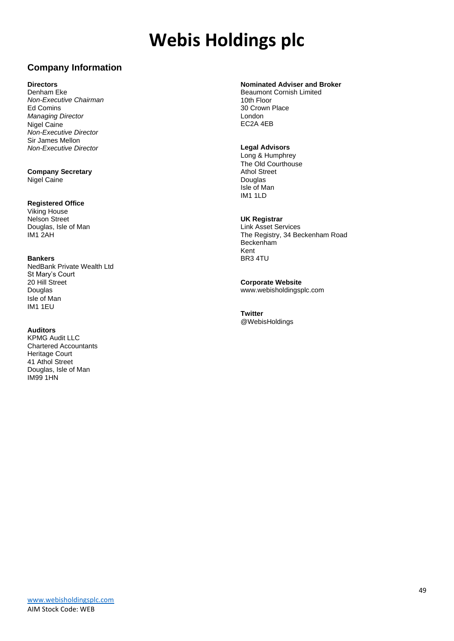### **Company Information**

#### **Directors**

Denham Eke *Non-Executive Chairman* Ed Comins *Managing Director* Nigel Caine *Non-Executive Director* Sir James Mellon *Non-Executive Director*

**Company Secretary** Nigel Caine

#### **Registered Office**

Viking House Nelson Street Douglas, Isle of Man IM1 2AH

#### **Bankers**

NedBank Private Wealth Ltd St Mary's Court 20 Hill Street Douglas Isle of Man IM1 1EU

#### **Auditors**

KPMG Audit LLC Chartered Accountants Heritage Court 41 Athol Street Douglas, Isle of Man IM99 1HN

#### **Nominated Adviser and Broker**

Beaumont Cornish Limited 10th Floor 30 Crown Place London EC2A 4EB

#### **Legal Advisors**

Long & Humphrey The Old Courthouse Athol Street Douglas Isle of Man IM1 1LD

#### **UK Registrar**

Link Asset Services The Registry, 34 Beckenham Road Beckenham Kent BR3 4TU

**Corporate Website** www.webisholdingsplc.com

**Twitter** @WebisHoldings